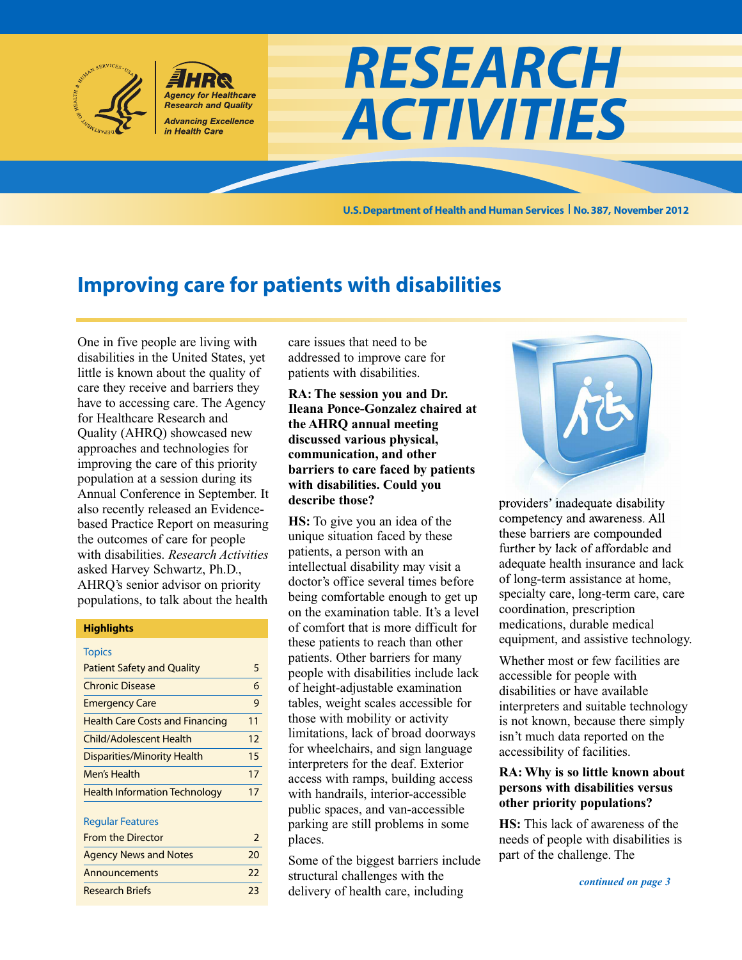

**Agency for Healthcare Research and Quality Advancing Excellence** in Health Care

**U.S.Department of Health and Human Services No.387, November 2012**

*RESEARCH*

*ACTIVITIES*

# **Improving care for patients with disabilities**

One in five people are living with disabilities in the United States, yet little is known about the quality of care they receive and barriers they have to accessing care. The Agency for Healthcare Research and Quality (AHRQ) showcased new approaches and technologies for improving the care of this priority population at a session during its Annual Conference in September. It also recently released an Evidencebased Practice Report on measuring the outcomes of care for people with disabilities. *Research Activities* asked Harvey Schwartz, Ph.D., AHRQ's senior advisor on priority populations, to talk about the health

#### **Highlights**

| <b>Topics</b>                          |    |
|----------------------------------------|----|
| <b>Patient Safety and Quality</b>      | 5  |
| <b>Chronic Disease</b>                 | 6  |
| <b>Emergency Care</b>                  | 9  |
| <b>Health Care Costs and Financing</b> | 11 |
| <b>Child/Adolescent Health</b>         | 12 |
| <b>Disparities/Minority Health</b>     | 15 |
| Men's Health                           | 17 |
| <b>Health Information Technology</b>   | 17 |

#### Regular Features

| <b>From the Director</b>     |    |
|------------------------------|----|
| <b>Agency News and Notes</b> | 20 |
| Announcements                | 22 |
| <b>Research Briefs</b>       | วว |

care issues that need to be addressed to improve care for patients with disabilities.

**RA: The session you and Dr. Ileana Ponce-Gonzalez chaired at the AHRQ annual meeting discussed various physical, communication, and other barriers to care faced by patients with disabilities. Could you describe those?**

**HS:** To give you an idea of the unique situation faced by these patients, a person with an intellectual disability may visit a doctor's office several times before being comfortable enough to get up on the examination table. It's a level of comfort that is more difficult for these patients to reach than other patients. Other barriers for many people with disabilities include lack of height-adjustable examination tables, weight scales accessible for those with mobility or activity limitations, lack of broad doorways for wheelchairs, and sign language interpreters for the deaf. Exterior access with ramps, building access with handrails, interior-accessible public spaces, and van-accessible parking are still problems in some places.

Some of the biggest barriers include structural challenges with the delivery of health care, including



providers' inadequate disability competency and awareness. All these barriers are compounded further by lack of affordable and adequate health insurance and lack of long-term assistance at home, specialty care, long-term care, care coordination, prescription medications, durable medical equipment, and assistive technology.

Whether most or few facilities are accessible for people with disabilities or have available interpreters and suitable technology is not known, because there simply isn't much data reported on the accessibility of facilities.

### **RA:Why is so little known about persons with disabilities versus other priority populations?**

**HS:** This lack of awareness of the needs of people with disabilities is part of the challenge. The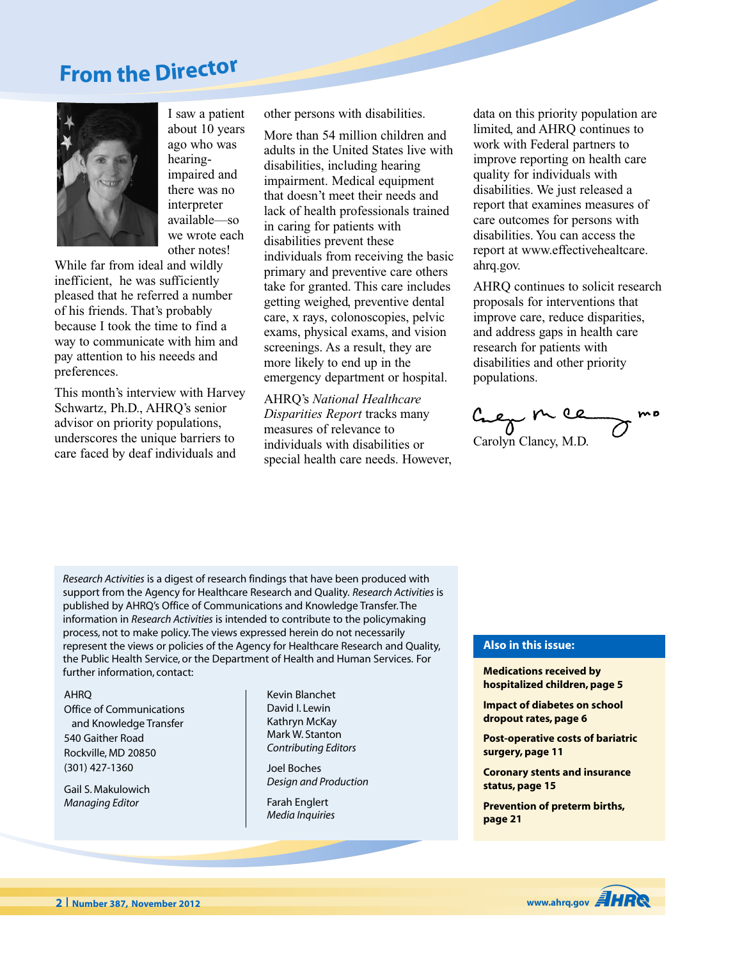# **Fro<sup>m</sup> <sup>t</sup>h<sup>e</sup> Directo<sup>r</sup>**



I saw a patient about 10 years ago who was hearingimpaired and there was no interpreter available—so we wrote each other notes!

While far from ideal and wildly inefficient, he was sufficiently pleased that he referred a number of his friends. That's probably because I took the time to find a way to communicate with him and pay attention to his neeeds and preferences.

This month's interview with Harvey Schwartz, Ph.D., AHRQ's senior advisor on priority populations, underscores the unique barriers to care faced by deaf individuals and

other persons with disabilities.

More than 54 million children and adults in the United States live with disabilities, including hearing impairment. Medical equipment that doesn't meet their needs and lack of health professionals trained in caring for patients with disabilities prevent these individuals from receiving the basic primary and preventive care others take for granted. This care includes getting weighed, preventive dental care, x rays, colonoscopies, pelvic exams, physical exams, and vision screenings. As a result, they are more likely to end up in the emergency department or hospital.

AHRQ's *National Healthcare Disparities Report* tracks many measures of relevance to individuals with disabilities or special health care needs. However,

data on this priority population are limited, and AHRQ continues to work with Federal partners to improve reporting on health care quality for individuals with disabilities. We just released a report that examines measures of care outcomes for persons with disabilities. You can access the report at www.effectivehealtcare. ahrq.gov.

AHRQ continues to solicit research proposals for interventions that improve care, reduce disparities, and address gaps in health care research for patients with disabilities and other priority populations.

 $C_{\text{ac}}$   $\sim$   $C_{\text{ac}}$ <br>Carolyn Clancy, M.D.

*Research Activities* is a digest of research findings that have been produced with support from the Agency for Healthcare Research and Quality. *Research Activities* is published by AHRQ's Office of Communications and Knowledge Transfer.The information in *Research Activities* is intended to contribute to the policymaking process, not to make policy.The views expressed herein do not necessarily represent the views or policies of the Agency for Healthcare Research and Quality, the Public Health Service, or the Department of Health and Human Services. For further information, contact: **Medications received by**

#### AHRQ

Office of Communications and Knowledge Transfer 540 Gaither Road Rockville, MD 20850 (301) 427-1360

Gail S. Makulowich *Managing Editor*

Kevin Blanchet David I. Lewin Kathryn McKay Mark W. Stanton *Contributing Editors*

Joel Boches *Design and Production*

Farah Englert *Media Inquiries*

#### **Also in this issue:**

**hospitalized children, page 5**

**Impact of diabetes on school dropout rates, page 6**

**Post-operative costs of bariatric surgery, page 11**

**Coronary stents and insurance status, page 15**

**Prevention of preterm births, page 21**

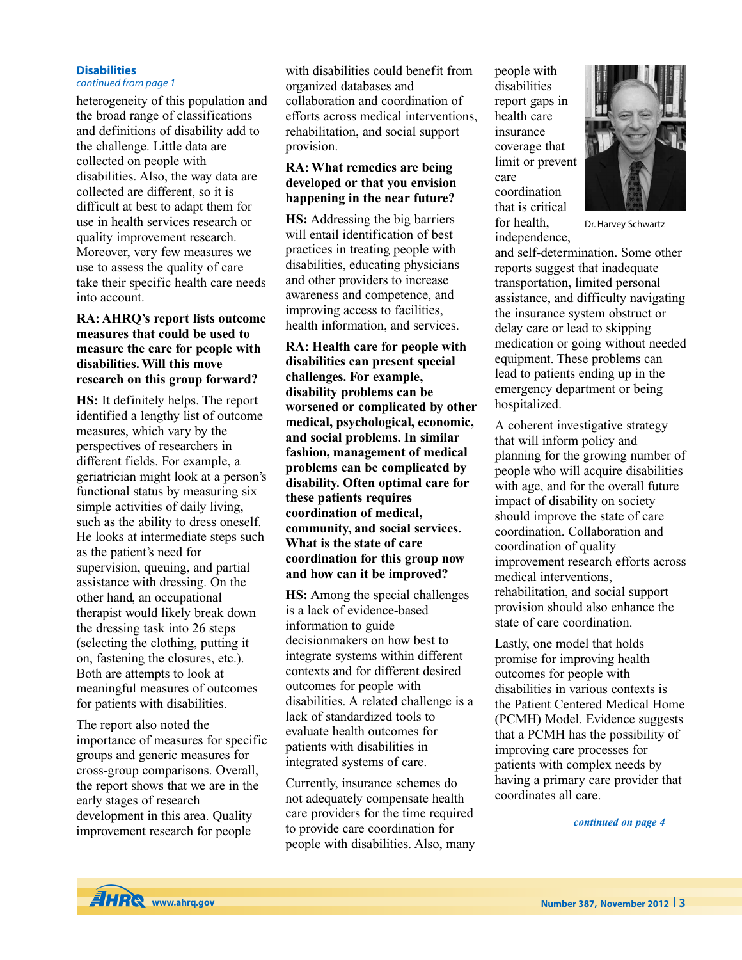### **Disabilities**

### *continued from page 1*

heterogeneity of this population and the broad range of classifications and definitions of disability add to the challenge. Little data are collected on people with disabilities. Also, the way data are collected are different, so it is difficult at best to adapt them for use in health services research or quality improvement research. Moreover, very few measures we use to assess the quality of care take their specific health care needs into account.

### **RA: AHRQ's report lists outcome measures that could be used to measure the care for people with disabilities.Will this move research on this group forward?**

**HS:** It definitely helps. The report identified a lengthy list of outcome measures, which vary by the perspectives of researchers in different fields. For example, a geriatrician might look at a person's functional status by measuring six simple activities of daily living, such as the ability to dress oneself. He looks at intermediate steps such as the patient's need for supervision, queuing, and partial assistance with dressing. On the other hand, an occupational therapist would likely break down the dressing task into 26 steps (selecting the clothing, putting it on, fastening the closures, etc.). Both are attempts to look at meaningful measures of outcomes for patients with disabilities.

The report also noted the importance of measures for specific groups and generic measures for cross-group comparisons. Overall, the report shows that we are in the early stages of research development in this area. Quality improvement research for people

with disabilities could benefit from organized databases and collaboration and coordination of efforts across medical interventions, rehabilitation, and social support provision.

### **RA:What remedies are being developed or that you envision happening in the near future?**

**HS:** Addressing the big barriers will entail identification of best practices in treating people with disabilities, educating physicians and other providers to increase awareness and competence, and improving access to facilities, health information, and services.

**RA: Health care for people with disabilities can present special challenges. For example, disability problems can be worsened or complicated by other medical, psychological, economic, and social problems. In similar fashion, management of medical problems can be complicated by disability. Often optimal care for these patients requires coordination of medical, community, and social services. What is the state of care coordination for this group now and how can it be improved?**

**HS:** Among the special challenges is a lack of evidence-based information to guide decisionmakers on how best to integrate systems within different contexts and for different desired outcomes for people with disabilities. A related challenge is a lack of standardized tools to evaluate health outcomes for patients with disabilities in integrated systems of care.

Currently, insurance schemes do not adequately compensate health care providers for the time required to provide care coordination for people with disabilities. Also, many people with disabilities report gaps in health care insurance coverage that limit or prevent care coordination that is critical for health, independence,



Dr.Harvey Schwartz

and self-determination. Some other reports suggest that inadequate transportation, limited personal assistance, and difficulty navigating the insurance system obstruct or delay care or lead to skipping medication or going without needed equipment. These problems can lead to patients ending up in the emergency department or being hospitalized.

A coherent investigative strategy that will inform policy and planning for the growing number of people who will acquire disabilities with age, and for the overall future impact of disability on society should improve the state of care coordination. Collaboration and coordination of quality improvement research efforts across medical interventions, rehabilitation, and social support provision should also enhance the state of care coordination.

Lastly, one model that holds promise for improving health outcomes for people with disabilities in various contexts is the Patient Centered Medical Home (PCMH) Model. Evidence suggests that a PCMH has the possibility of improving care processes for patients with complex needs by having a primary care provider that coordinates all care.

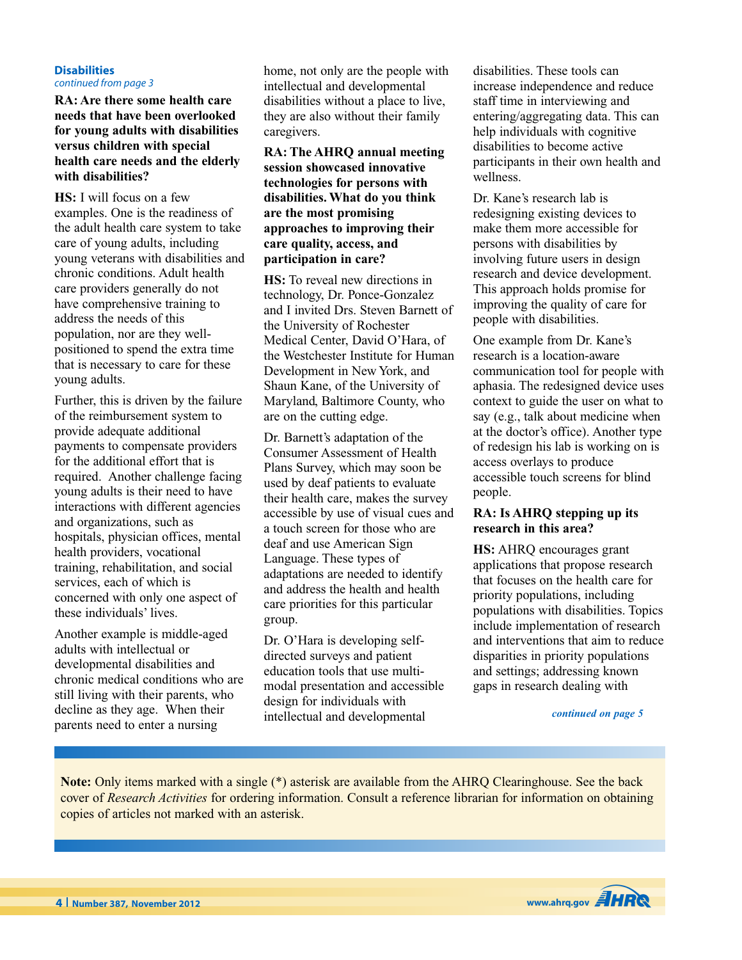#### **Disabilities** *continued from page 3*

**RA: Are there some health care needs that have been overlooked for young adults with disabilities versus children with special health care needs and the elderly with disabilities?**

**HS:** I will focus on a few examples. One is the readiness of the adult health care system to take care of young adults, including young veterans with disabilities and chronic conditions. Adult health care providers generally do not have comprehensive training to address the needs of this population, nor are they wellpositioned to spend the extra time that is necessary to care for these young adults.

Further, this is driven by the failure of the reimbursement system to provide adequate additional payments to compensate providers for the additional effort that is required. Another challenge facing young adults is their need to have interactions with different agencies and organizations, such as hospitals, physician offices, mental health providers, vocational training, rehabilitation, and social services, each of which is concerned with only one aspect of these individuals' lives.

Another example is middle-aged adults with intellectual or developmental disabilities and chronic medical conditions who are still living with their parents, who decline as they age. When their parents need to enter a nursing

home, not only are the people with intellectual and developmental disabilities without a place to live, they are also without their family caregivers.

### **RA: The AHRQ annual meeting session showcased innovative technologies for persons with disabilities.What do you think are the most promising approaches to improving their care quality, access, and participation in care?**

**HS:** To reveal new directions in technology, Dr. Ponce-Gonzalez and I invited Drs. Steven Barnett of the University of Rochester Medical Center, David O'Hara, of the Westchester Institute for Human Development in New York, and Shaun Kane, of the University of Maryland, Baltimore County, who are on the cutting edge.

Dr. Barnett's adaptation of the Consumer Assessment of Health Plans Survey, which may soon be used by deaf patients to evaluate their health care, makes the survey accessible by use of visual cues and a touch screen for those who are deaf and use American Sign Language. These types of adaptations are needed to identify and address the health and health care priorities for this particular group.

Dr. O'Hara is developing selfdirected surveys and patient education tools that use multimodal presentation and accessible design for individuals with intellectual and developmental

disabilities. These tools can increase independence and reduce staff time in interviewing and entering/aggregating data. This can help individuals with cognitive disabilities to become active participants in their own health and wellness.

Dr. Kane's research lab is redesigning existing devices to make them more accessible for persons with disabilities by involving future users in design research and device development. This approach holds promise for improving the quality of care for people with disabilities.

One example from Dr. Kane's research is a location-aware communication tool for people with aphasia. The redesigned device uses context to guide the user on what to say (e.g., talk about medicine when at the doctor's office). Another type of redesign his lab is working on is access overlays to produce accessible touch screens for blind people.

### **RA: Is AHRQ stepping up its research in this area?**

**HS:** AHRQ encourages grant applications that propose research that focuses on the health care for priority populations, including populations with disabilities. Topics include implementation of research and interventions that aim to reduce disparities in priority populations and settings; addressing known gaps in research dealing with

*continued on page 5*

**Note:** Only items marked with a single (\*) asterisk are available from the AHRQ Clearinghouse. See the back cover of *Research Activities* for ordering information. Consult a reference librarian for information on obtaining copies of articles not marked with an asterisk.

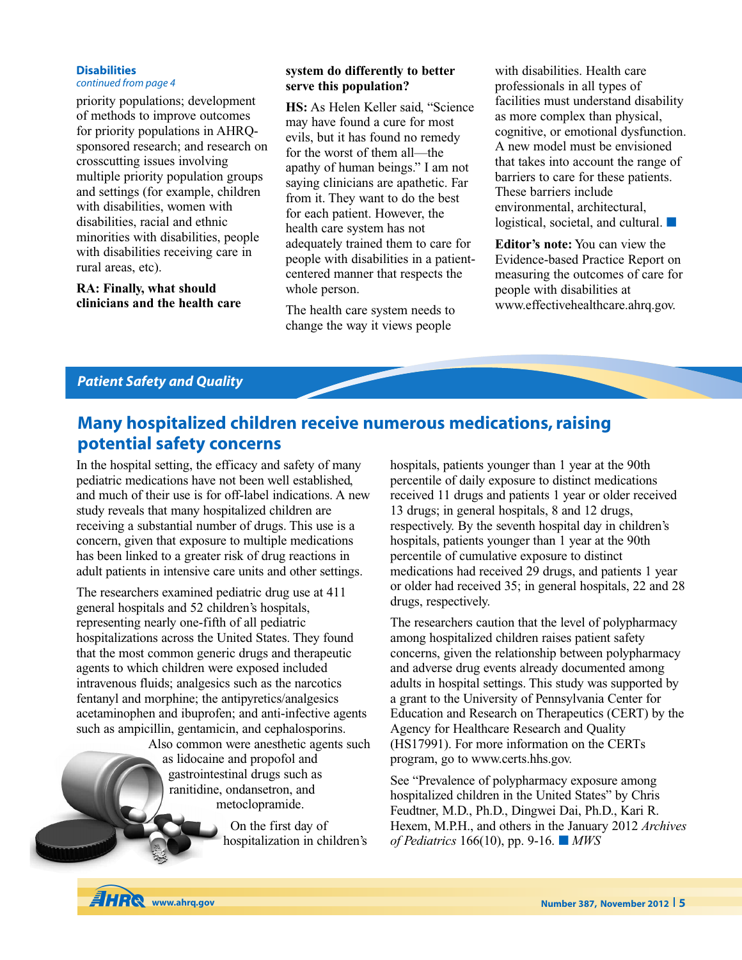#### **Disabilities**

*continued from page 4*

priority populations; development of methods to improve outcomes for priority populations in AHRQsponsored research; and research on crosscutting issues involving multiple priority population groups and settings (for example, children with disabilities, women with disabilities, racial and ethnic minorities with disabilities, people with disabilities receiving care in rural areas, etc).

**RA: Finally, what should clinicians and the health care**

### **system do differently to better serve this population?**

**HS:** As Helen Keller said, "Science may have found a cure for most evils, but it has found no remedy for the worst of them all—the apathy of human beings." I am not saying clinicians are apathetic. Far from it. They want to do the best for each patient. However, the health care system has not adequately trained them to care for people with disabilities in a patientcentered manner that respects the whole person.

The health care system needs to change the way it views people

with disabilities. Health care professionals in all types of facilities must understand disability as more complex than physical, cognitive, or emotional dysfunction. A new model must be envisioned that takes into account the range of barriers to care for these patients. These barriers include environmental, architectural, logistical, societal, and cultural. **■**

**Editor's note:** You can view the Evidence-based Practice Report on measuring the outcomes of care for people with disabilities at www.effectivehealthcare.ahrq.gov.

### *Patient Safety and Quality*

# **Many hospitalized children receive numerous medications,raising potential safety concerns**

In the hospital setting, the efficacy and safety of many pediatric medications have not been well established, and much of their use is for off-label indications. A new study reveals that many hospitalized children are receiving a substantial number of drugs. This use is a concern, given that exposure to multiple medications has been linked to a greater risk of drug reactions in adult patients in intensive care units and other settings.

The researchers examined pediatric drug use at 411 general hospitals and 52 children's hospitals, representing nearly one-fifth of all pediatric hospitalizations across the United States. They found that the most common generic drugs and therapeutic agents to which children were exposed included intravenous fluids; analgesics such as the narcotics fentanyl and morphine; the antipyretics/analgesics acetaminophen and ibuprofen; and anti-infective agents such as ampicillin, gentamicin, and cephalosporins.

> Also common were anesthetic agents such as lidocaine and propofol and gastrointestinal drugs such as ranitidine, ondansetron, and metoclopramide.

> > On the first day of hospitalization in children's

hospitals, patients younger than 1 year at the 90th percentile of daily exposure to distinct medications received 11 drugs and patients 1 year or older received 13 drugs; in general hospitals, 8 and 12 drugs, respectively. By the seventh hospital day in children's hospitals, patients younger than 1 year at the 90th percentile of cumulative exposure to distinct medications had received 29 drugs, and patients 1 year or older had received 35; in general hospitals, 22 and 28 drugs, respectively.

The researchers caution that the level of polypharmacy among hospitalized children raises patient safety concerns, given the relationship between polypharmacy and adverse drug events already documented among adults in hospital settings. This study was supported by a grant to the University of Pennsylvania Center for Education and Research on Therapeutics (CERT) by the Agency for Healthcare Research and Quality (HS17991). For more information on the CERTs program, go to www.certs.hhs.gov.

See "Prevalence of polypharmacy exposure among hospitalized children in the United States" by Chris Feudtner, M.D., Ph.D., Dingwei Dai, Ph.D., Kari R. Hexem, M.P.H., and others in the January 2012 *Archives of Pediatrics* 166(10), pp. 9-16. **■** *MWS*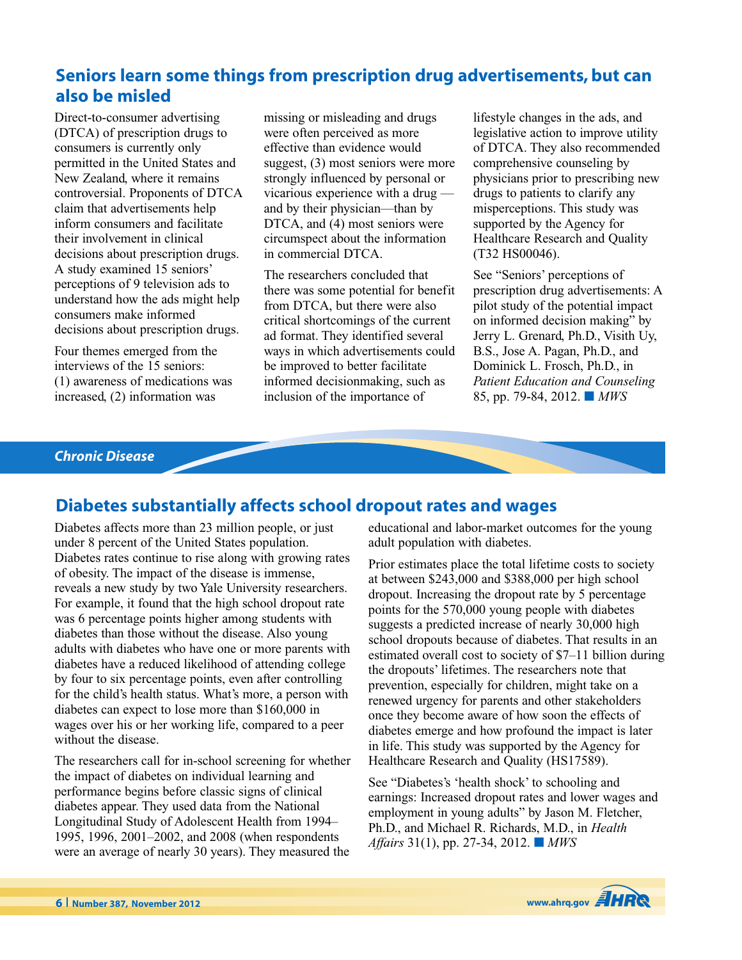## **Seniors learn some things from prescription drug advertisements, but can also be misled**

Direct-to-consumer advertising (DTCA) of prescription drugs to consumers is currently only permitted in the United States and New Zealand, where it remains controversial. Proponents of DTCA claim that advertisements help inform consumers and facilitate their involvement in clinical decisions about prescription drugs. A study examined 15 seniors' perceptions of 9 television ads to understand how the ads might help consumers make informed decisions about prescription drugs.

Four themes emerged from the interviews of the 15 seniors: (1) awareness of medications was increased, (2) information was

missing or misleading and drugs were often perceived as more effective than evidence would suggest, (3) most seniors were more strongly influenced by personal or vicarious experience with a drug and by their physician—than by DTCA, and (4) most seniors were circumspect about the information in commercial DTCA.

The researchers concluded that there was some potential for benefit from DTCA, but there were also critical shortcomings of the current ad format. They identified several ways in which advertisements could be improved to better facilitate informed decisionmaking, such as inclusion of the importance of

lifestyle changes in the ads, and legislative action to improve utility of DTCA. They also recommended comprehensive counseling by physicians prior to prescribing new drugs to patients to clarify any misperceptions. This study was supported by the Agency for Healthcare Research and Quality (T32 HS00046).

See "Seniors' perceptions of prescription drug advertisements: A pilot study of the potential impact on informed decision making" by Jerry L. Grenard, Ph.D., Visith Uy, B.S., Jose A. Pagan, Ph.D., and Dominick L. Frosch, Ph.D., in *Patient Education and Counseling* 85, pp. 79-84, 2012. **■** *MWS*

### *Chronic Disease*

### **Diabetes substantially affects school dropout rates and wages**

Diabetes affects more than 23 million people, or just under 8 percent of the United States population. Diabetes rates continue to rise along with growing rates of obesity. The impact of the disease is immense, reveals a new study by two Yale University researchers. For example, it found that the high school dropout rate was 6 percentage points higher among students with diabetes than those without the disease. Also young adults with diabetes who have one or more parents with diabetes have a reduced likelihood of attending college by four to six percentage points, even after controlling for the child's health status. What's more, a person with diabetes can expect to lose more than \$160,000 in wages over his or her working life, compared to a peer without the disease.

The researchers call for in-school screening for whether the impact of diabetes on individual learning and performance begins before classic signs of clinical diabetes appear. They used data from the National Longitudinal Study of Adolescent Health from 1994– 1995, 1996, 2001–2002, and 2008 (when respondents were an average of nearly 30 years). They measured the

educational and labor-market outcomes for the young adult population with diabetes.

Prior estimates place the total lifetime costs to society at between \$243,000 and \$388,000 per high school dropout. Increasing the dropout rate by 5 percentage points for the 570,000 young people with diabetes suggests a predicted increase of nearly 30,000 high school dropouts because of diabetes. That results in an estimated overall cost to society of \$7–11 billion during the dropouts' lifetimes. The researchers note that prevention, especially for children, might take on a renewed urgency for parents and other stakeholders once they become aware of how soon the effects of diabetes emerge and how profound the impact is later in life. This study was supported by the Agency for Healthcare Research and Quality (HS17589).

See "Diabetes's 'health shock' to schooling and earnings: Increased dropout rates and lower wages and employment in young adults" by Jason M. Fletcher, Ph.D., and Michael R. Richards, M.D., in *Health Affairs* 31(1), pp. 27-34, 2012. **■** *MWS*

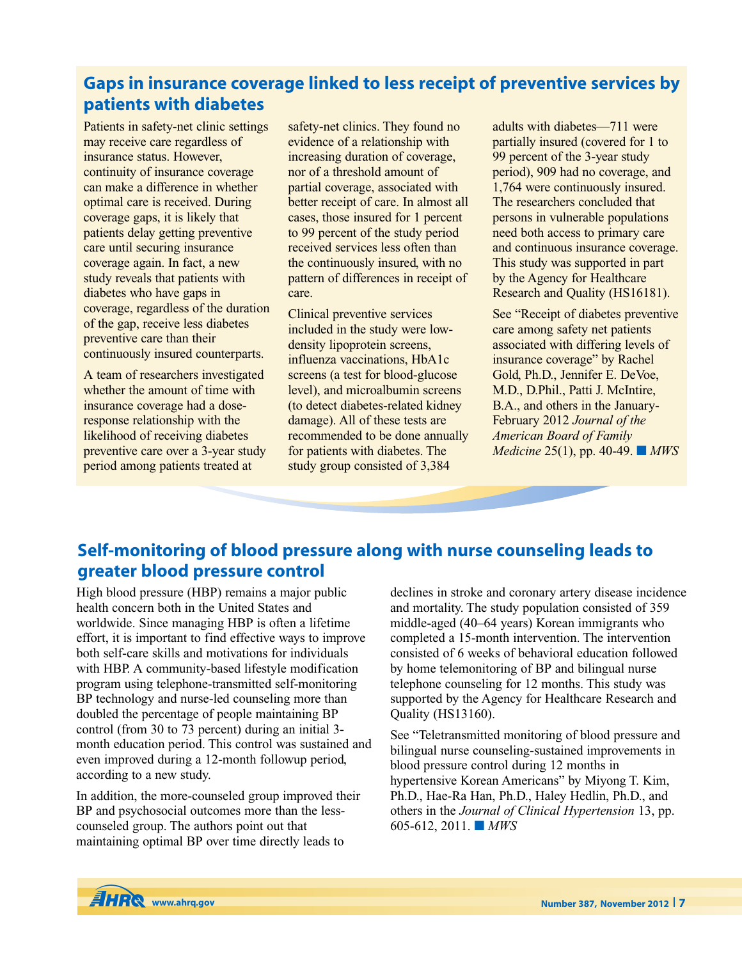## **Gaps in insurance coverage linked to less receipt of preventive services by patients with diabetes**

Patients in safety-net clinic settings may receive care regardless of insurance status. However, continuity of insurance coverage can make a difference in whether optimal care is received. During coverage gaps, it is likely that patients delay getting preventive care until securing insurance coverage again. In fact, a new study reveals that patients with diabetes who have gaps in coverage, regardless of the duration of the gap, receive less diabetes preventive care than their continuously insured counterparts.

A team of researchers investigated whether the amount of time with insurance coverage had a doseresponse relationship with the likelihood of receiving diabetes preventive care over a 3-year study period among patients treated at

safety-net clinics. They found no evidence of a relationship with increasing duration of coverage, nor of a threshold amount of partial coverage, associated with better receipt of care. In almost all cases, those insured for 1 percent to 99 percent of the study period received services less often than the continuously insured, with no pattern of differences in receipt of care.

Clinical preventive services included in the study were lowdensity lipoprotein screens, influenza vaccinations, HbA1c screens (a test for blood-glucose level), and microalbumin screens (to detect diabetes-related kidney damage). All of these tests are recommended to be done annually for patients with diabetes. The study group consisted of 3,384

adults with diabetes—711 were partially insured (covered for 1 to 99 percent of the 3-year study period), 909 had no coverage, and 1,764 were continuously insured. The researchers concluded that persons in vulnerable populations need both access to primary care and continuous insurance coverage. This study was supported in part by the Agency for Healthcare Research and Quality (HS16181).

See "Receipt of diabetes preventive care among safety net patients associated with differing levels of insurance coverage" by Rachel Gold, Ph.D., Jennifer E. DeVoe, M.D., D.Phil., Patti J. McIntire, B.A., and others in the January-February 2012 *Journal of the American Board of Family Medicine* 25(1), pp. 40-49. **■** *MWS*

# **Self-monitoring of blood pressure along with nurse counseling leads to greater blood pressure control**

High blood pressure (HBP) remains a major public health concern both in the United States and worldwide. Since managing HBP is often a lifetime effort, it is important to find effective ways to improve both self-care skills and motivations for individuals with HBP. A community-based lifestyle modification program using telephone-transmitted self-monitoring BP technology and nurse-led counseling more than doubled the percentage of people maintaining BP control (from 30 to 73 percent) during an initial 3 month education period. This control was sustained and even improved during a 12-month followup period, according to a new study.

In addition, the more-counseled group improved their BP and psychosocial outcomes more than the lesscounseled group. The authors point out that maintaining optimal BP over time directly leads to

declines in stroke and coronary artery disease incidence and mortality. The study population consisted of 359 middle-aged (40–64 years) Korean immigrants who completed a 15-month intervention. The intervention consisted of 6 weeks of behavioral education followed by home telemonitoring of BP and bilingual nurse telephone counseling for 12 months. This study was supported by the Agency for Healthcare Research and Quality (HS13160).

See "Teletransmitted monitoring of blood pressure and bilingual nurse counseling-sustained improvements in blood pressure control during 12 months in hypertensive Korean Americans" by Miyong T. Kim, Ph.D., Hae-Ra Han, Ph.D., Haley Hedlin, Ph.D., and others in the *Journal of Clinical Hypertension* 13, pp. 605-612, 2011. **■** *MWS*

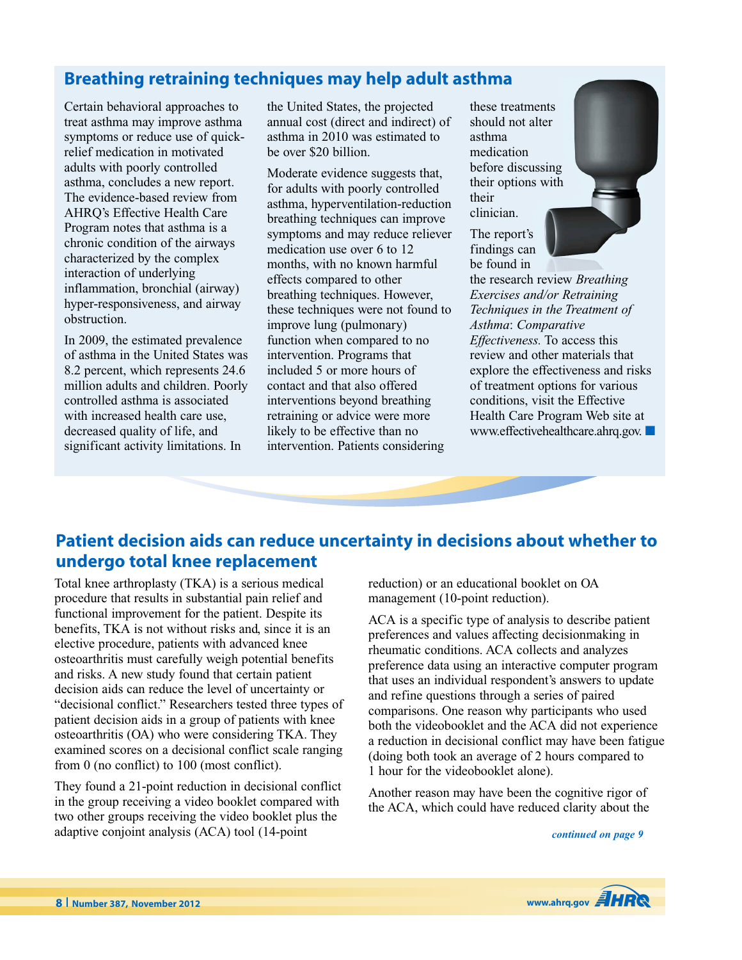# **Breathing retraining techniques may help adult asthma**

Certain behavioral approaches to treat asthma may improve asthma symptoms or reduce use of quickrelief medication in motivated adults with poorly controlled asthma, concludes a new report. The evidence-based review from AHRQ's Effective Health Care Program notes that asthma is a chronic condition of the airways characterized by the complex interaction of underlying inflammation, bronchial (airway) hyper-responsiveness, and airway obstruction.

In 2009, the estimated prevalence of asthma in the United States was 8.2 percent, which represents 24.6 million adults and children. Poorly controlled asthma is associated with increased health care use, decreased quality of life, and significant activity limitations. In

the United States, the projected annual cost (direct and indirect) of asthma in 2010 was estimated to be over \$20 billion.

Moderate evidence suggests that, for adults with poorly controlled asthma, hyperventilation-reduction breathing techniques can improve symptoms and may reduce reliever medication use over 6 to 12 months, with no known harmful effects compared to other breathing techniques. However, these techniques were not found to improve lung (pulmonary) function when compared to no intervention. Programs that included 5 or more hours of contact and that also offered interventions beyond breathing retraining or advice were more likely to be effective than no intervention. Patients considering

these treatments should not alter asthma medication before discussing their options with their clinician.

The report's findings can be found in

the research review *Breathing Exercises and/or Retraining Techniques in the Treatment of Asthma*: *Comparative Effectiveness.* To access this review and other materials that explore the effectiveness and risks of treatment options for various conditions, visit the Effective Health Care Program Web site at www.effectivehealthcare.ahrq.gov. **■**

## **Patient decision aids can reduce uncertainty in decisions about whether to undergo total knee replacement**

Total knee arthroplasty (TKA) is a serious medical procedure that results in substantial pain relief and functional improvement for the patient. Despite its benefits, TKA is not without risks and, since it is an elective procedure, patients with advanced knee osteoarthritis must carefully weigh potential benefits and risks. A new study found that certain patient decision aids can reduce the level of uncertainty or "decisional conflict." Researchers tested three types of patient decision aids in a group of patients with knee osteoarthritis (OA) who were considering TKA. They examined scores on a decisional conflict scale ranging from 0 (no conflict) to 100 (most conflict).

They found a 21-point reduction in decisional conflict in the group receiving a video booklet compared with two other groups receiving the video booklet plus the adaptive conjoint analysis (ACA) tool (14-point

reduction) or an educational booklet on OA management (10-point reduction).

ACA is a specific type of analysis to describe patient preferences and values affecting decisionmaking in rheumatic conditions. ACA collects and analyzes preference data using an interactive computer program that uses an individual respondent's answers to update and refine questions through a series of paired comparisons. One reason why participants who used both the videobooklet and the ACA did not experience a reduction in decisional conflict may have been fatigue (doing both took an average of 2 hours compared to 1 hour for the videobooklet alone).

Another reason may have been the cognitive rigor of the ACA, which could have reduced clarity about the

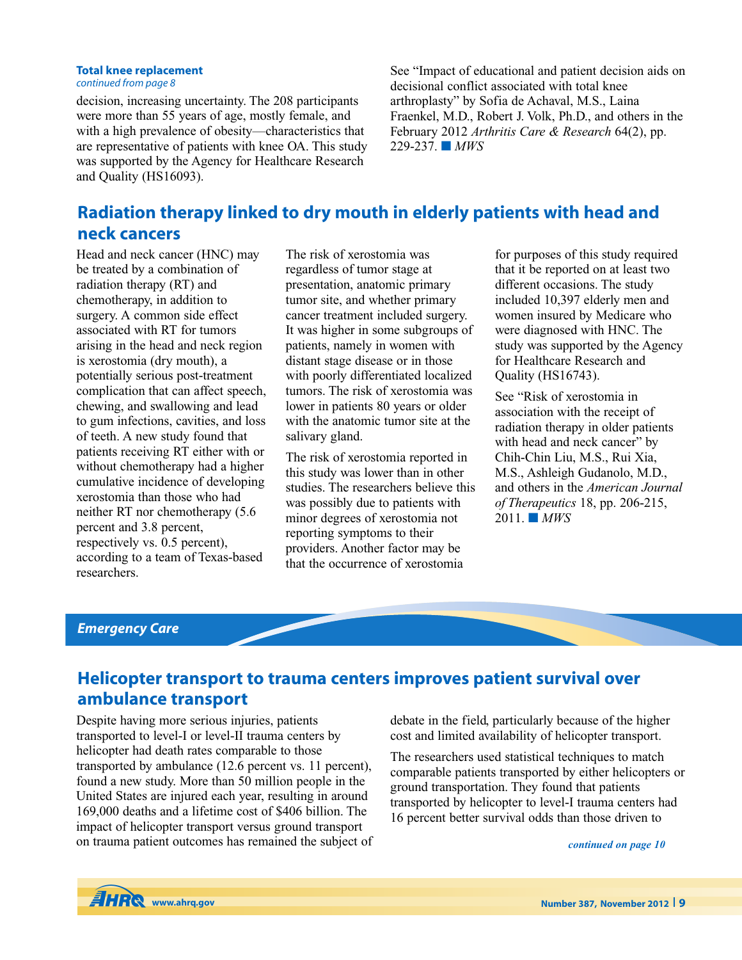### **Total knee replacement**

*continued from page 8*

decision, increasing uncertainty. The 208 participants were more than 55 years of age, mostly female, and with a high prevalence of obesity—characteristics that are representative of patients with knee OA. This study was supported by the Agency for Healthcare Research and Quality (HS16093).

See "Impact of educational and patient decision aids on decisional conflict associated with total knee arthroplasty" by Sofia de Achaval, M.S., Laina Fraenkel, M.D., Robert J. Volk, Ph.D., and others in the February 2012 *Arthritis Care & Research* 64(2), pp. 229-237. **■** *MWS*

# **Radiation therapy linked to dry mouth in elderly patients with head and neck cancers**

Head and neck cancer (HNC) may be treated by a combination of radiation therapy (RT) and chemotherapy, in addition to surgery. A common side effect associated with RT for tumors arising in the head and neck region is xerostomia (dry mouth), a potentially serious post-treatment complication that can affect speech, chewing, and swallowing and lead to gum infections, cavities, and loss of teeth. A new study found that patients receiving RT either with or without chemotherapy had a higher cumulative incidence of developing xerostomia than those who had neither RT nor chemotherapy (5.6 percent and 3.8 percent, respectively vs. 0.5 percent), according to a team of Texas-based researchers.

The risk of xerostomia was regardless of tumor stage at presentation, anatomic primary tumor site, and whether primary cancer treatment included surgery. It was higher in some subgroups of patients, namely in women with distant stage disease or in those with poorly differentiated localized tumors. The risk of xerostomia was lower in patients 80 years or older with the anatomic tumor site at the salivary gland.

The risk of xerostomia reported in this study was lower than in other studies. The researchers believe this was possibly due to patients with minor degrees of xerostomia not reporting symptoms to their providers. Another factor may be that the occurrence of xerostomia

for purposes of this study required that it be reported on at least two different occasions. The study included 10,397 elderly men and women insured by Medicare who were diagnosed with HNC. The study was supported by the Agency for Healthcare Research and Quality (HS16743).

See "Risk of xerostomia in association with the receipt of radiation therapy in older patients with head and neck cancer" by Chih-Chin Liu, M.S., Rui Xia, M.S., Ashleigh Gudanolo, M.D., and others in the *American Journal of Therapeutics* 18, pp. 206-215, 2011. **■** *MWS*

### *Emergency Care*

## **Helicopter transport to trauma centers improves patient survival over ambulance transport**

Despite having more serious injuries, patients transported to level-I or level-II trauma centers by helicopter had death rates comparable to those transported by ambulance (12.6 percent vs. 11 percent), found a new study. More than 50 million people in the United States are injured each year, resulting in around 169,000 deaths and a lifetime cost of \$406 billion. The impact of helicopter transport versus ground transport on trauma patient outcomes has remained the subject of debate in the field, particularly because of the higher cost and limited availability of helicopter transport.

The researchers used statistical techniques to match comparable patients transported by either helicopters or ground transportation. They found that patients transported by helicopter to level-I trauma centers had 16 percent better survival odds than those driven to

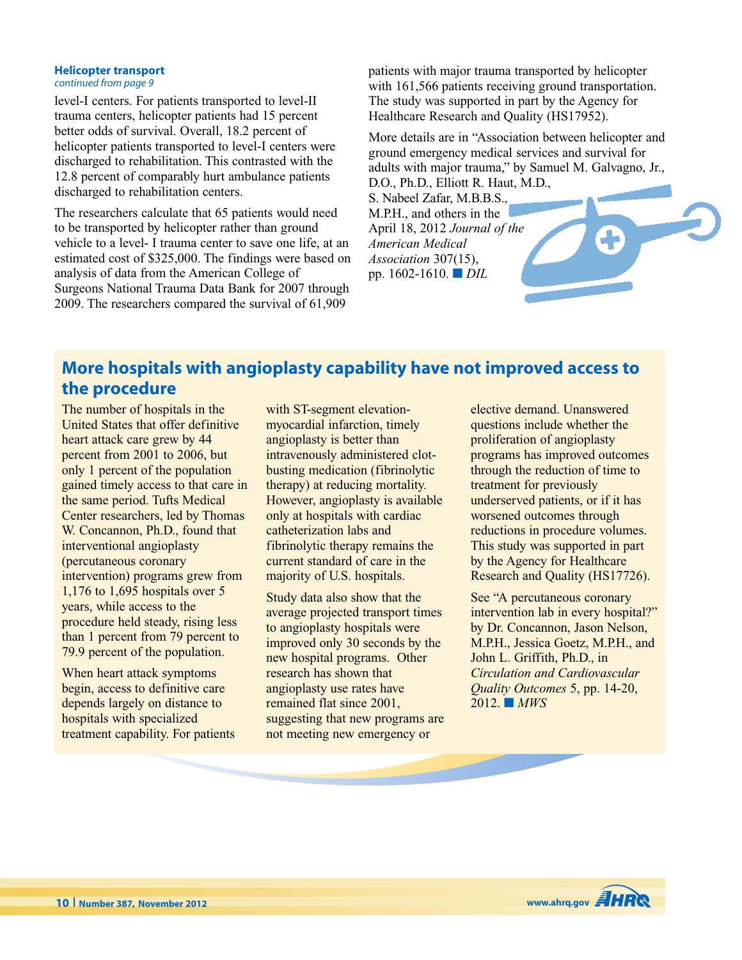#### **Helicopter transport** *continued from page 9*

level-I centers. For patients transported to level-II trauma centers, helicopter patients had 15 percent better odds of survival. Overall, 18.2 percent of helicopter patients transported to level-I centers were discharged to rehabilitation. This contrasted with the 12.8 percent of comparably hurt ambulance patients discharged to rehabilitation centers.

The researchers calculate that 65 patients would need to be transported by helicopter rather than ground vehicle to a level- I trauma center to save one life, at an estimated cost of \$325,000. The findings were based on analysis of data from the American College of Surgeons National Trauma Data Bank for 2007 through 2009. The researchers compared the survival of 61,909

patients with major trauma transported by helicopter with 161,566 patients receiving ground transportation. The study was supported in part by the Agency for Healthcare Research and Quality (HS17952).

More details are in "Association between helicopter and ground emergency medical services and survival for adults with major trauma," by Samuel M. Galvagno, Jr.,

D.O., Ph.D., Elliott R. Haut, M.D., S. Nabeel Zafar, M.B.B.S., M.P.H., and others in the April 18, 2012 *Journal of the American Medical Association* 307(15), pp. 1602-1610. **■** *DIL*

# **More hospitals with angioplasty capability have not improved access to the procedure**

The number of hospitals in the United States that offer definitive heart attack care grew by 44 percent from 2001 to 2006, but only 1 percent of the population gained timely access to that care in the same period. Tufts Medical Center researchers, led by Thomas W. Concannon, Ph.D., found that interventional angioplasty (percutaneous coronary intervention) programs grew from 1,176 to 1,695 hospitals over 5 years, while access to the procedure held steady, rising less than 1 percent from 79 percent to 79.9 percent of the population.

When heart attack symptoms begin, access to definitive care depends largely on distance to hospitals with specialized treatment capability. For patients with ST-segment elevationmyocardial infarction, timely angioplasty is better than intravenously administered clotbusting medication (fibrinolytic therapy) at reducing mortality. However, angioplasty is available only at hospitals with cardiac catheterization labs and fibrinolytic therapy remains the current standard of care in the majority of U.S. hospitals.

Study data also show that the average projected transport times to angioplasty hospitals were improved only 30 seconds by the new hospital programs. Other research has shown that angioplasty use rates have remained flat since 2001, suggesting that new programs are not meeting new emergency or

elective demand. Unanswered questions include whether the proliferation of angioplasty programs has improved outcomes through the reduction of time to treatment for previously underserved patients, or if it has worsened outcomes through reductions in procedure volumes. This study was supported in part by the Agency for Healthcare Research and Quality (HS17726).

See "A percutaneous coronary intervention lab in every hospital?" by Dr. Concannon, Jason Nelson, M.P.H., Jessica Goetz, M.P.H., and John L. Griffith, Ph.D., in *Circulation and Cardiovascular Quality Outcomes* 5, pp. 14-20, 2012. **■** *MWS*

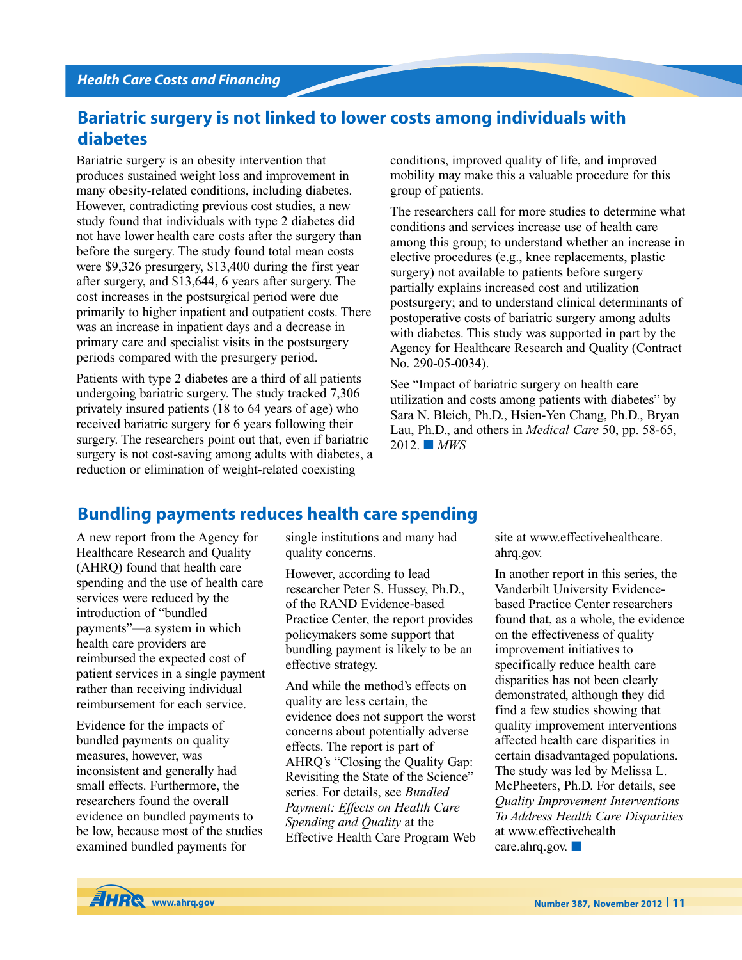# **Bariatric surgery is not linked to lower costs among individuals with diabetes**

Bariatric surgery is an obesity intervention that produces sustained weight loss and improvement in many obesity-related conditions, including diabetes. However, contradicting previous cost studies, a new study found that individuals with type 2 diabetes did not have lower health care costs after the surgery than before the surgery. The study found total mean costs were \$9,326 presurgery, \$13,400 during the first year after surgery, and \$13,644, 6 years after surgery. The cost increases in the postsurgical period were due primarily to higher inpatient and outpatient costs. There was an increase in inpatient days and a decrease in primary care and specialist visits in the postsurgery periods compared with the presurgery period.

Patients with type 2 diabetes are a third of all patients undergoing bariatric surgery. The study tracked 7,306 privately insured patients (18 to 64 years of age) who received bariatric surgery for 6 years following their surgery. The researchers point out that, even if bariatric surgery is not cost-saving among adults with diabetes, a reduction or elimination of weight-related coexisting

conditions, improved quality of life, and improved mobility may make this a valuable procedure for this group of patients.

The researchers call for more studies to determine what conditions and services increase use of health care among this group; to understand whether an increase in elective procedures (e.g., knee replacements, plastic surgery) not available to patients before surgery partially explains increased cost and utilization postsurgery; and to understand clinical determinants of postoperative costs of bariatric surgery among adults with diabetes. This study was supported in part by the Agency for Healthcare Research and Quality (Contract No. 290-05-0034).

See "Impact of bariatric surgery on health care utilization and costs among patients with diabetes" by Sara N. Bleich, Ph.D., Hsien-Yen Chang, Ph.D., Bryan Lau, Ph.D., and others in *Medical Care* 50, pp. 58-65, 2012. **■** *MWS*

## **Bundling payments reduces health care spending**

A new report from the Agency for Healthcare Research and Quality (AHRQ) found that health care spending and the use of health care services were reduced by the introduction of "bundled payments"—a system in which health care providers are reimbursed the expected cost of patient services in a single payment rather than receiving individual reimbursement for each service.

Evidence for the impacts of bundled payments on quality measures, however, was inconsistent and generally had small effects. Furthermore, the researchers found the overall evidence on bundled payments to be low, because most of the studies examined bundled payments for

single institutions and many had quality concerns.

However, according to lead researcher Peter S. Hussey, Ph.D., of the RAND Evidence-based Practice Center, the report provides policymakers some support that bundling payment is likely to be an effective strategy.

And while the method's effects on quality are less certain, the evidence does not support the worst concerns about potentially adverse effects. The report is part of AHRQ's "Closing the Quality Gap: Revisiting the State of the Science" series. For details, see *Bundled Payment: Effects on Health Care Spending and Quality* at the Effective Health Care Program Web site at www.effectivehealthcare. ahrq.gov.

In another report in this series, the Vanderbilt University Evidencebased Practice Center researchers found that, as a whole, the evidence on the effectiveness of quality improvement initiatives to specifically reduce health care disparities has not been clearly demonstrated, although they did find a few studies showing that quality improvement interventions affected health care disparities in certain disadvantaged populations. The study was led by Melissa L. McPheeters, Ph.D. For details, see *Quality Improvement Interventions To Address Health Care Disparities* at www.effectivehealth care.ahrq.gov. **■**

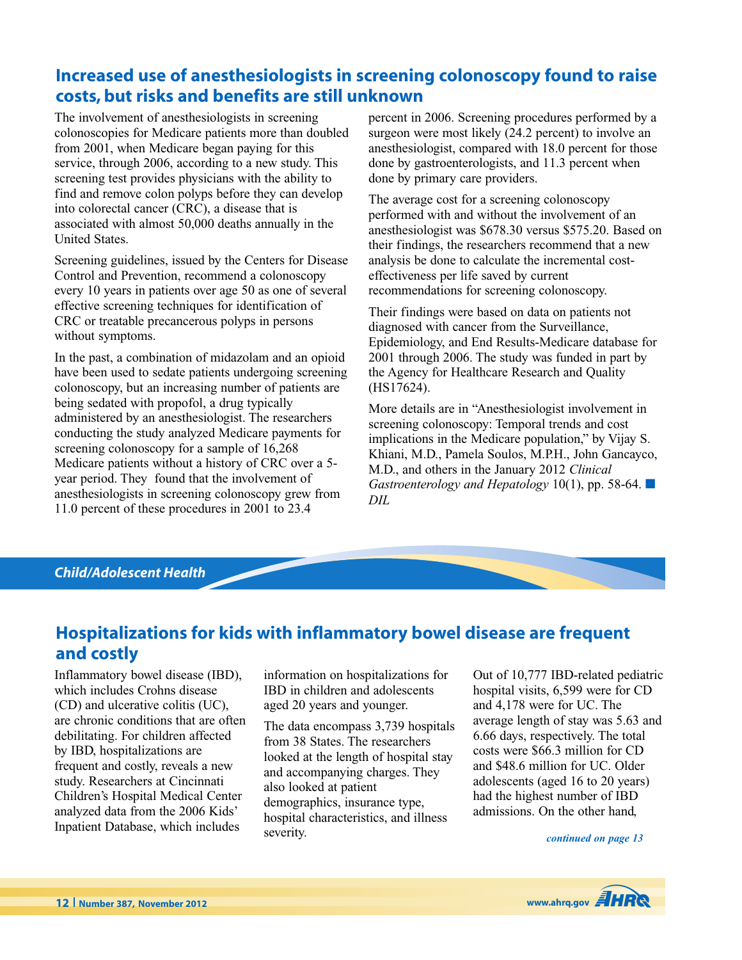# **Increased use of anesthesiologists in screening colonoscopy found to raise costs, but risks and benefits are still unknown**

The involvement of anesthesiologists in screening colonoscopies for Medicare patients more than doubled from 2001, when Medicare began paying for this service, through 2006, according to a new study. This screening test provides physicians with the ability to find and remove colon polyps before they can develop into colorectal cancer (CRC), a disease that is associated with almost 50,000 deaths annually in the United States.

Screening guidelines, issued by the Centers for Disease Control and Prevention, recommend a colonoscopy every 10 years in patients over age 50 as one of several effective screening techniques for identification of CRC or treatable precancerous polyps in persons without symptoms.

In the past, a combination of midazolam and an opioid have been used to sedate patients undergoing screening colonoscopy, but an increasing number of patients are being sedated with propofol, a drug typically administered by an anesthesiologist. The researchers conducting the study analyzed Medicare payments for screening colonoscopy for a sample of  $16,268$ Medicare patients without a history of CRC over a 5 year period. They found that the involvement of anesthesiologists in screening colonoscopy grew from 11.0 percent of these procedures in 2001 to 23.4

percent in 2006. Screening procedures performed by a surgeon were most likely (24.2 percent) to involve an anesthesiologist, compared with 18.0 percent for those done by gastroenterologists, and 11.3 percent when done by primary care providers.

The average cost for a screening colonoscopy performed with and without the involvement of an anesthesiologist was \$678.30 versus \$575.20. Based on their findings, the researchers recommend that a new analysis be done to calculate the incremental costeffectiveness per life saved by current recommendations for screening colonoscopy.

Their findings were based on data on patients not diagnosed with cancer from the Surveillance, Epidemiology, and End Results-Medicare database for 2001 through 2006. The study was funded in part by the Agency for Healthcare Research and Quality (HS17624).

More details are in "Anesthesiologist involvement in screening colonoscopy: Temporal trends and cost implications in the Medicare population," by Vijay S. Khiani, M.D., Pamela Soulos, M.P.H., John Gancayco, M.D., and others in the January 2012 *Clinical Gastroenterology and Hepatology* 10(1), pp. 58-64. **■** *DIL*

### *Child/Adolescent Health*

### **Hospitalizations for kids with inflammatory bowel disease are frequent and costly**

Inflammatory bowel disease (IBD), which includes Crohns disease (CD) and ulcerative colitis (UC), are chronic conditions that are often debilitating. For children affected by IBD, hospitalizations are frequent and costly, reveals a new study. Researchers at Cincinnati Children's Hospital Medical Center analyzed data from the 2006 Kids' Inpatient Database, which includes

information on hospitalizations for IBD in children and adolescents aged 20 years and younger.

The data encompass 3,739 hospitals from 38 States. The researchers looked at the length of hospital stay and accompanying charges. They also looked at patient demographics, insurance type, hospital characteristics, and illness severity.

Out of 10,777 IBD-related pediatric hospital visits, 6,599 were for CD and 4,178 were for UC. The average length of stay was 5.63 and 6.66 days, respectively. The total costs were \$66.3 million for CD and \$48.6 million for UC. Older adolescents (aged 16 to 20 years) had the highest number of IBD admissions. On the other hand,

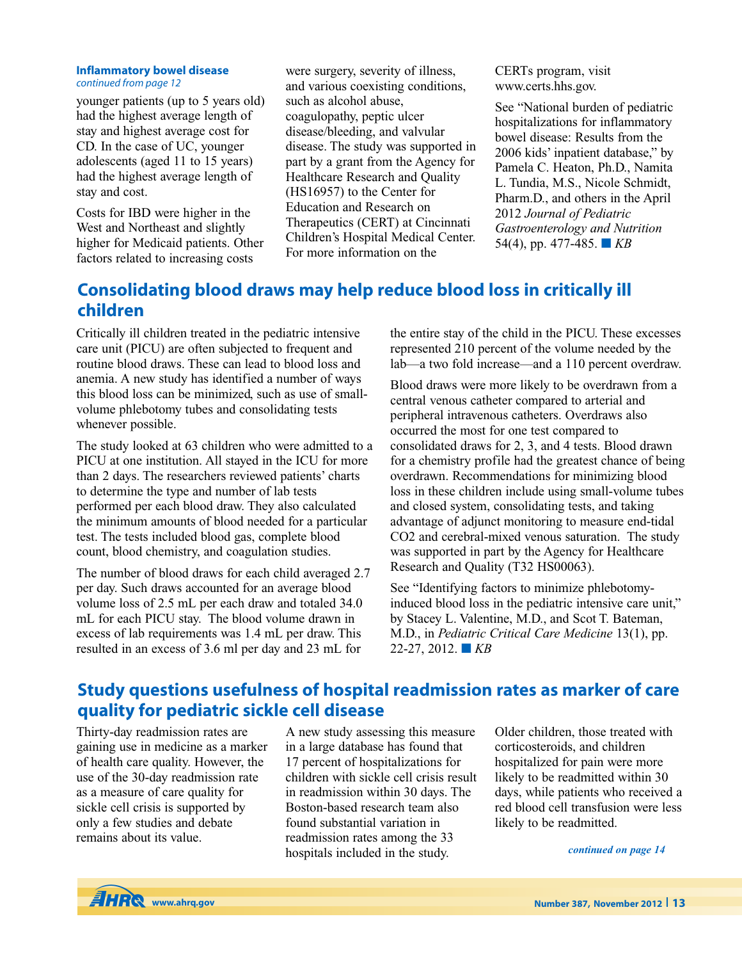#### **Inflammatory bowel disease** *continued from page 12*

younger patients (up to 5 years old) had the highest average length of stay and highest average cost for CD. In the case of UC, younger adolescents (aged 11 to 15 years) had the highest average length of stay and cost.

Costs for IBD were higher in the West and Northeast and slightly higher for Medicaid patients. Other factors related to increasing costs

were surgery, severity of illness, and various coexisting conditions, such as alcohol abuse, coagulopathy, peptic ulcer disease/bleeding, and valvular disease. The study was supported in part by a grant from the Agency for Healthcare Research and Quality (HS16957) to the Center for Education and Research on Therapeutics (CERT) at Cincinnati Children's Hospital Medical Center. For more information on the

CERTs program, visit www.certs.hhs.gov.

See "National burden of pediatric hospitalizations for inflammatory bowel disease: Results from the 2006 kids' inpatient database," by Pamela C. Heaton, Ph.D., Namita L. Tundia, M.S., Nicole Schmidt, Pharm.D., and others in the April 2012 *Journal of Pediatric Gastroenterology and Nutrition* 54(4), pp. 477-485. **■** *KB*

# **Consolidating blood draws may help reduce blood loss in critically ill children**

Critically ill children treated in the pediatric intensive care unit (PICU) are often subjected to frequent and routine blood draws. These can lead to blood loss and anemia. A new study has identified a number of ways this blood loss can be minimized, such as use of smallvolume phlebotomy tubes and consolidating tests whenever possible.

The study looked at 63 children who were admitted to a PICU at one institution. All stayed in the ICU for more than 2 days. The researchers reviewed patients' charts to determine the type and number of lab tests performed per each blood draw. They also calculated the minimum amounts of blood needed for a particular test. The tests included blood gas, complete blood count, blood chemistry, and coagulation studies.

The number of blood draws for each child averaged 2.7 per day. Such draws accounted for an average blood volume loss of 2.5 mL per each draw and totaled 34.0 mL for each PICU stay. The blood volume drawn in excess of lab requirements was 1.4 mL per draw. This resulted in an excess of 3.6 ml per day and 23 mL for

the entire stay of the child in the PICU. These excesses represented 210 percent of the volume needed by the lab—a two fold increase—and a 110 percent overdraw.

Blood draws were more likely to be overdrawn from a central venous catheter compared to arterial and peripheral intravenous catheters. Overdraws also occurred the most for one test compared to consolidated draws for 2, 3, and 4 tests. Blood drawn for a chemistry profile had the greatest chance of being overdrawn. Recommendations for minimizing blood loss in these children include using small-volume tubes and closed system, consolidating tests, and taking advantage of adjunct monitoring to measure end-tidal CO2 and cerebral-mixed venous saturation. The study was supported in part by the Agency for Healthcare Research and Quality (T32 HS00063).

See "Identifying factors to minimize phlebotomyinduced blood loss in the pediatric intensive care unit," by Stacey L. Valentine, M.D., and Scot T. Bateman, M.D., in *Pediatric Critical Care Medicine* 13(1), pp. 22-27, 2012. **■** *KB*

# **Study questions usefulness of hospital readmission rates as marker of care quality for pediatric sickle cell disease**

Thirty-day readmission rates are gaining use in medicine as a marker of health care quality. However, the use of the 30-day readmission rate as a measure of care quality for sickle cell crisis is supported by only a few studies and debate remains about its value.

A new study assessing this measure in a large database has found that 17 percent of hospitalizations for children with sickle cell crisis result in readmission within 30 days. The Boston-based research team also found substantial variation in readmission rates among the 33 hospitals included in the study.

Older children, those treated with corticosteroids, and children hospitalized for pain were more likely to be readmitted within 30 days, while patients who received a red blood cell transfusion were less likely to be readmitted.

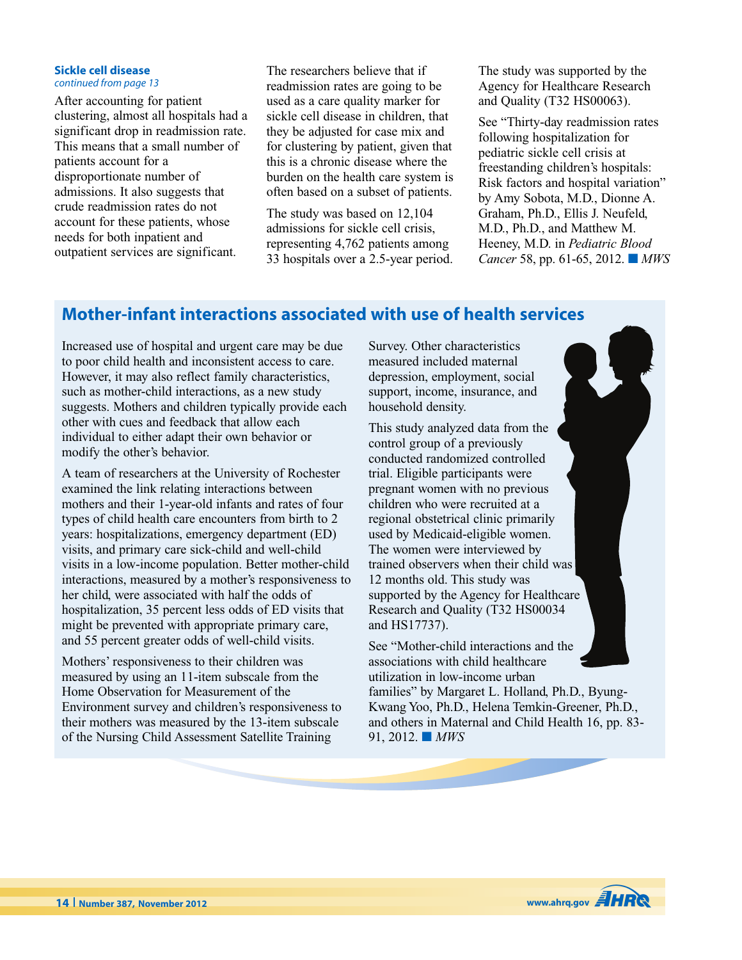#### **Sickle cell disease** *continued from page 13*

After accounting for patient clustering, almost all hospitals had a significant drop in readmission rate. This means that a small number of patients account for a disproportionate number of admissions. It also suggests that crude readmission rates do not account for these patients, whose needs for both inpatient and outpatient services are significant.

The researchers believe that if readmission rates are going to be used as a care quality marker for sickle cell disease in children, that they be adjusted for case mix and for clustering by patient, given that this is a chronic disease where the burden on the health care system is often based on a subset of patients.

The study was based on 12,104 admissions for sickle cell crisis, representing 4,762 patients among 33 hospitals over a 2.5-year period. The study was supported by the Agency for Healthcare Research and Quality (T32 HS00063).

See "Thirty-day readmission rates following hospitalization for pediatric sickle cell crisis at freestanding children's hospitals: Risk factors and hospital variation" by Amy Sobota, M.D., Dionne A. Graham, Ph.D., Ellis J. Neufeld, M.D., Ph.D., and Matthew M. Heeney, M.D. in *Pediatric Blood Cancer* 58, pp. 61-65, 2012. **■** *MWS*

# **Mother-infant interactions associated with use of health services**

Increased use of hospital and urgent care may be due to poor child health and inconsistent access to care. However, it may also reflect family characteristics, such as mother-child interactions, as a new study suggests. Mothers and children typically provide each other with cues and feedback that allow each individual to either adapt their own behavior or modify the other's behavior.

A team of researchers at the University of Rochester examined the link relating interactions between mothers and their 1-year-old infants and rates of four types of child health care encounters from birth to 2 years: hospitalizations, emergency department (ED) visits, and primary care sick-child and well-child visits in a low-income population. Better mother-child interactions, measured by a mother's responsiveness to her child, were associated with half the odds of hospitalization, 35 percent less odds of ED visits that might be prevented with appropriate primary care, and 55 percent greater odds of well-child visits.

Mothers' responsiveness to their children was measured by using an 11-item subscale from the Home Observation for Measurement of the Environment survey and children's responsiveness to their mothers was measured by the 13-item subscale of the Nursing Child Assessment Satellite Training

Survey. Other characteristics measured included maternal depression, employment, social support, income, insurance, and household density.

This study analyzed data from the control group of a previously conducted randomized controlled trial. Eligible participants were pregnant women with no previous children who were recruited at a regional obstetrical clinic primarily used by Medicaid-eligible women. The women were interviewed by trained observers when their child was 12 months old. This study was supported by the Agency for Healthcare Research and Quality (T32 HS00034 and HS17737).

See "Mother-child interactions and the associations with child healthcare utilization in low-income urban families" by Margaret L. Holland, Ph.D., Byung-Kwang Yoo, Ph.D., Helena Temkin-Greener, Ph.D., and others in Maternal and Child Health 16, pp. 83- 91, 2012. **■** *MWS*

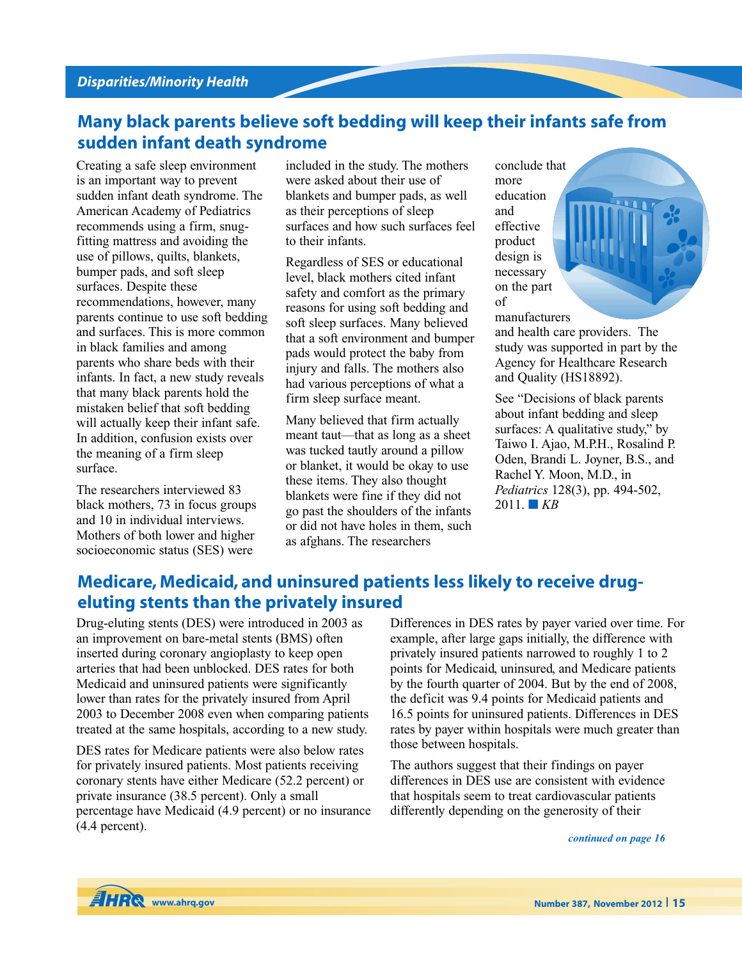# **Many black parents believe soft bedding will keep their infants safe from sudden infant death syndrome**

Creating a safe sleep environment is an important way to prevent sudden infant death syndrome. The American Academy of Pediatrics recommends using a firm, snugfitting mattress and avoiding the use of pillows, quilts, blankets, bumper pads, and soft sleep surfaces. Despite these recommendations, however, many parents continue to use soft bedding and surfaces. This is more common in black families and among parents who share beds with their infants. In fact, a new study reveals that many black parents hold the mistaken belief that soft bedding will actually keep their infant safe. In addition, confusion exists over the meaning of a firm sleep surface.

The researchers interviewed 83 black mothers, 73 in focus groups and 10 in individual interviews. Mothers of both lower and higher socioeconomic status (SES) were

included in the study. The mothers were asked about their use of blankets and bumper pads, as well as their perceptions of sleep surfaces and how such surfaces feel to their infants.

Regardless of SES or educational level, black mothers cited infant safety and comfort as the primary reasons for using soft bedding and soft sleep surfaces. Many believed that a soft environment and bumper pads would protect the baby from injury and falls. The mothers also had various perceptions of what a firm sleep surface meant.

Many believed that firm actually meant taut—that as long as a sheet was tucked tautly around a pillow or blanket, it would be okay to use these items. They also thought blankets were fine if they did not go past the shoulders of the infants or did not have holes in them, such as afghans. The researchers

conclude that more education and effective product design is necessary on the part of

manufacturers

and health care providers. The study was supported in part by the Agency for Healthcare Research and Quality (HS18892).

See "Decisions of black parents about infant bedding and sleep surfaces: A qualitative study," by Taiwo I. Ajao, M.P.H., Rosalind P. Oden, Brandi L. Joyner, B.S., and Rachel Y. Moon, M.D., in *Pediatrics* 128(3), pp. 494-502,  $2011.$  **KB** 

## **Medicare, Medicaid, and uninsured patients less likely to receive drugeluting stents than the privately insured**

Drug-eluting stents (DES) were introduced in 2003 as an improvement on bare-metal stents (BMS) often inserted during coronary angioplasty to keep open arteries that had been unblocked. DES rates for both Medicaid and uninsured patients were significantly lower than rates for the privately insured from April 2003 to December 2008 even when comparing patients treated at the same hospitals, according to a new study.

DES rates for Medicare patients were also below rates for privately insured patients. Most patients receiving coronary stents have either Medicare (52.2 percent) or private insurance (38.5 percent). Only a small percentage have Medicaid (4.9 percent) or no insurance (4.4 percent).

Differences in DES rates by payer varied over time. For example, after large gaps initially, the difference with privately insured patients narrowed to roughly 1 to 2 points for Medicaid, uninsured, and Medicare patients by the fourth quarter of 2004. But by the end of 2008, the deficit was 9.4 points for Medicaid patients and 16.5 points for uninsured patients. Differences in DES rates by payer within hospitals were much greater than those between hospitals.

The authors suggest that their findings on payer differences in DES use are consistent with evidence that hospitals seem to treat cardiovascular patients differently depending on the generosity of their

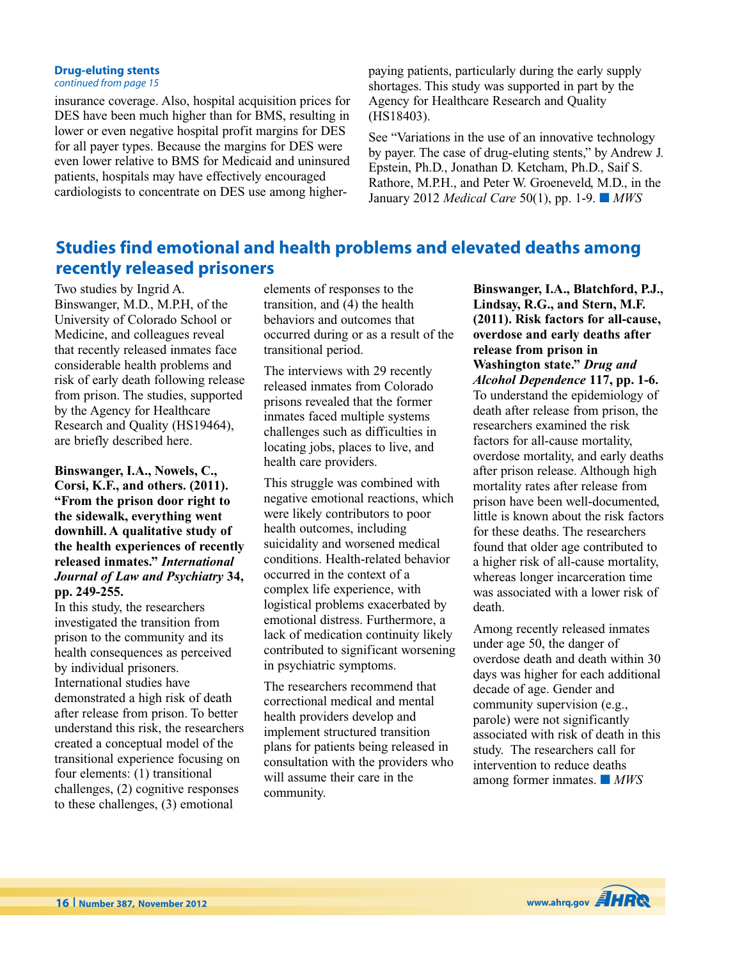### **Drug-eluting stents**

*continued from page 15*

insurance coverage. Also, hospital acquisition prices for DES have been much higher than for BMS, resulting in lower or even negative hospital profit margins for DES for all payer types. Because the margins for DES were even lower relative to BMS for Medicaid and uninsured patients, hospitals may have effectively encouraged cardiologists to concentrate on DES use among higherpaying patients, particularly during the early supply shortages. This study was supported in part by the Agency for Healthcare Research and Quality (HS18403).

See "Variations in the use of an innovative technology by payer. The case of drug-eluting stents," by Andrew J. Epstein, Ph.D., Jonathan D. Ketcham, Ph.D., Saif S. Rathore, M.P.H., and Peter W. Groeneveld, M.D., in the January 2012 *Medical Care* 50(1), pp. 1-9. **■** *MWS*

# **Studies find emotional and health problems and elevated deaths among recently released prisoners**

Two studies by Ingrid A. Binswanger, M.D., M.P.H, of the University of Colorado School or Medicine, and colleagues reveal that recently released inmates face considerable health problems and risk of early death following release from prison. The studies, supported by the Agency for Healthcare Research and Quality (HS19464), are briefly described here.

**Binswanger, I.A., Nowels, C., Corsi, K.F., and others. (2011). "From the prison door right to the sidewalk, everything went downhill. A qualitative study of the health experiences of recently released inmates."** *International Journal of Law and Psychiatry* **34, pp. 249-255.**

In this study, the researchers investigated the transition from prison to the community and its health consequences as perceived by individual prisoners. International studies have demonstrated a high risk of death after release from prison. To better understand this risk, the researchers created a conceptual model of the transitional experience focusing on four elements: (1) transitional challenges, (2) cognitive responses to these challenges, (3) emotional

elements of responses to the transition, and (4) the health behaviors and outcomes that occurred during or as a result of the transitional period.

The interviews with 29 recently released inmates from Colorado prisons revealed that the former inmates faced multiple systems challenges such as difficulties in locating jobs, places to live, and health care providers.

This struggle was combined with negative emotional reactions, which were likely contributors to poor health outcomes, including suicidality and worsened medical conditions. Health-related behavior occurred in the context of a complex life experience, with logistical problems exacerbated by emotional distress. Furthermore, a lack of medication continuity likely contributed to significant worsening in psychiatric symptoms.

The researchers recommend that correctional medical and mental health providers develop and implement structured transition plans for patients being released in consultation with the providers who will assume their care in the community.

**Binswanger, I.A., Blatchford, P.J., Lindsay, R.G., and Stern, M.F. (2011). Risk factors for all-cause, overdose and early deaths after release from prison in Washington state."** *Drug and Alcohol Dependence* **117, pp. 1-6.** To understand the epidemiology of death after release from prison, the researchers examined the risk factors for all-cause mortality, overdose mortality, and early deaths after prison release. Although high mortality rates after release from prison have been well-documented, little is known about the risk factors for these deaths. The researchers found that older age contributed to a higher risk of all-cause mortality, whereas longer incarceration time was associated with a lower risk of death.

Among recently released inmates under age 50, the danger of overdose death and death within 30 days was higher for each additional decade of age. Gender and community supervision (e.g., parole) were not significantly associated with risk of death in this study. The researchers call for intervention to reduce deaths among former inmates. **■** *MWS*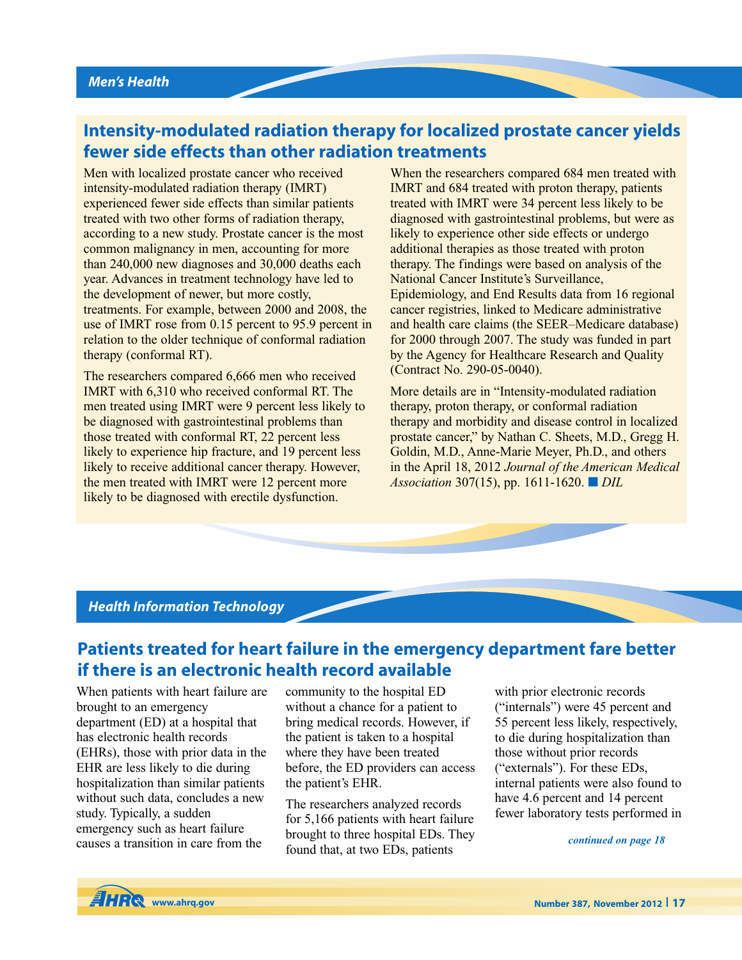# **Intensity-modulated radiation therapy for localized prostate cancer yields fewer side effects than other radiation treatments**

Men with localized prostate cancer who received intensity-modulated radiation therapy (IMRT) experienced fewer side effects than similar patients treated with two other forms of radiation therapy, according to a new study. Prostate cancer is the most common malignancy in men, accounting for more than 240,000 new diagnoses and 30,000 deaths each year. Advances in treatment technology have led to the development of newer, but more costly, treatments. For example, between 2000 and 2008, the use of IMRT rose from 0.15 percent to 95.9 percent in relation to the older technique of conformal radiation therapy (conformal RT).

The researchers compared 6,666 men who received IMRT with 6,310 who received conformal RT. The men treated using IMRT were 9 percent less likely to be diagnosed with gastrointestinal problems than those treated with conformal RT, 22 percent less likely to experience hip fracture, and 19 percent less likely to receive additional cancer therapy. However, the men treated with IMRT were 12 percent more likely to be diagnosed with erectile dysfunction.

When the researchers compared 684 men treated with IMRT and 684 treated with proton therapy, patients treated with IMRT were 34 percent less likely to be diagnosed with gastrointestinal problems, but were as likely to experience other side effects or undergo additional therapies as those treated with proton therapy. The findings were based on analysis of the National Cancer Institute's Surveillance, Epidemiology, and End Results data from 16 regional cancer registries, linked to Medicare administrative and health care claims (the SEER–Medicare database) for 2000 through 2007. The study was funded in part by the Agency for Healthcare Research and Quality (Contract No. 290-05-0040).

More details are in "Intensity-modulated radiation therapy, proton therapy, or conformal radiation therapy and morbidity and disease control in localized prostate cancer," by Nathan C. Sheets, M.D., Gregg H. Goldin, M.D., Anne-Marie Meyer, Ph.D., and others in the April 18, 2012 *Journal of the American Medical Association* 307(15), pp. 1611-1620. **■** *DIL*

### *Health Information Technology*

## **Patients treated for heart failure in the emergency department fare better if there is an electronic health record available**

When patients with heart failure are brought to an emergency department (ED) at a hospital that has electronic health records (EHRs), those with prior data in the EHR are less likely to die during hospitalization than similar patients without such data, concludes a new study. Typically, a sudden emergency such as heart failure causes a transition in care from the

community to the hospital ED without a chance for a patient to bring medical records. However, if the patient is taken to a hospital where they have been treated before, the ED providers can access the patient's EHR.

The researchers analyzed records for 5,166 patients with heart failure brought to three hospital EDs. They found that, at two EDs, patients

with prior electronic records ("internals") were 45 percent and 55 percent less likely, respectively, to die during hospitalization than those without prior records ("externals"). For these EDs, internal patients were also found to have 4.6 percent and 14 percent fewer laboratory tests performed in

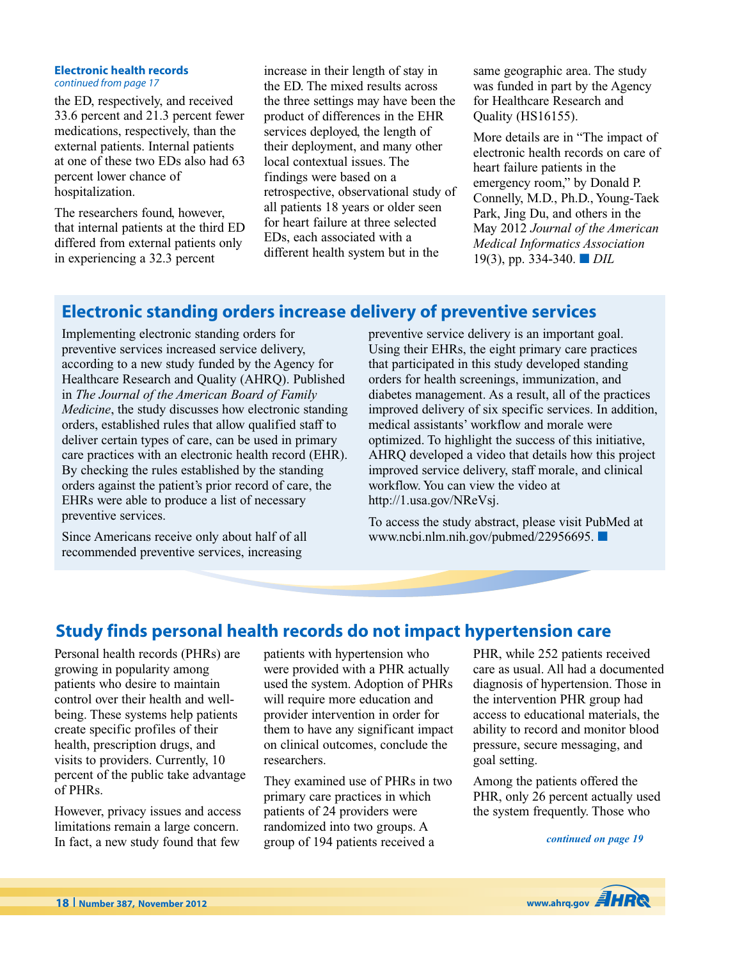#### **Electronic health records** *continued from page 17*

the ED, respectively, and received 33.6 percent and 21.3 percent fewer medications, respectively, than the external patients. Internal patients at one of these two EDs also had 63 percent lower chance of hospitalization.

The researchers found, however, that internal patients at the third ED differed from external patients only in experiencing a 32.3 percent

increase in their length of stay in the ED. The mixed results across the three settings may have been the product of differences in the EHR services deployed, the length of their deployment, and many other local contextual issues. The findings were based on a retrospective, observational study of all patients 18 years or older seen for heart failure at three selected EDs, each associated with a different health system but in the

same geographic area. The study was funded in part by the Agency for Healthcare Research and Quality (HS16155).

More details are in "The impact of electronic health records on care of heart failure patients in the emergency room," by Donald P. Connelly, M.D., Ph.D., Young-Taek Park, Jing Du, and others in the May 2012 *Journal of the American Medical Informatics Association* 19(3), pp. 334-340. **■** *DIL*

# **Electronic standing orders increase delivery of preventive services**

Implementing electronic standing orders for preventive services increased service delivery, according to a new study funded by the Agency for Healthcare Research and Quality (AHRQ). Published in *The Journal of the American Board of Family Medicine*, the study discusses how electronic standing orders, established rules that allow qualified staff to deliver certain types of care, can be used in primary care practices with an electronic health record (EHR). By checking the rules established by the standing orders against the patient's prior record of care, the EHRs were able to produce a list of necessary preventive services.

Since Americans receive only about half of all recommended preventive services, increasing

preventive service delivery is an important goal. Using their EHRs, the eight primary care practices that participated in this study developed standing orders for health screenings, immunization, and diabetes management. As a result, all of the practices improved delivery of six specific services. In addition, medical assistants' workflow and morale were optimized. To highlight the success of this initiative, AHRQ developed a video that details how this project improved service delivery, staff morale, and clinical workflow. You can view the video at http://1.usa.gov/NReVsj.

To access the study abstract, please visit PubMed at www.ncbi.nlm.nih.gov/pubmed/22956695. **■**

# **Study finds personal health records do not impact hypertension care**

Personal health records (PHRs) are growing in popularity among patients who desire to maintain control over their health and wellbeing. These systems help patients create specific profiles of their health, prescription drugs, and visits to providers. Currently, 10 percent of the public take advantage of PHRs.

However, privacy issues and access limitations remain a large concern. In fact, a new study found that few

patients with hypertension who were provided with a PHR actually used the system. Adoption of PHRs will require more education and provider intervention in order for them to have any significant impact on clinical outcomes, conclude the researchers.

They examined use of PHRs in two primary care practices in which patients of 24 providers were randomized into two groups. A group of 194 patients received a

PHR, while 252 patients received care as usual. All had a documented diagnosis of hypertension. Those in the intervention PHR group had access to educational materials, the ability to record and monitor blood pressure, secure messaging, and goal setting.

Among the patients offered the PHR, only 26 percent actually used the system frequently. Those who

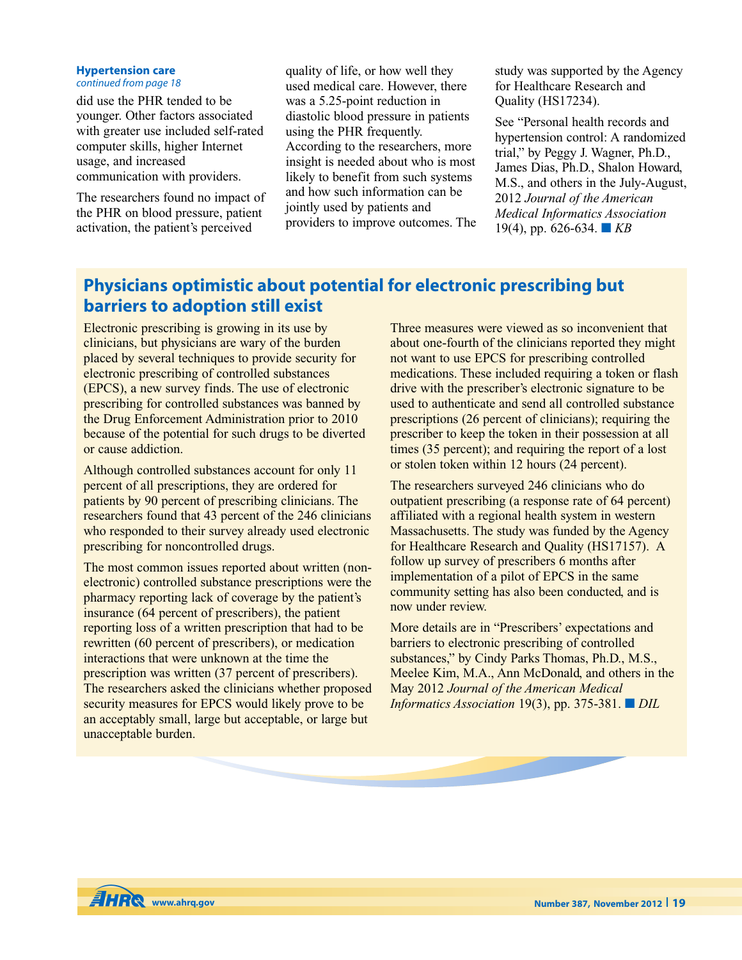### **Hypertension care**

*continued from page 18*

did use the PHR tended to be younger. Other factors associated with greater use included self-rated computer skills, higher Internet usage, and increased communication with providers.

The researchers found no impact of the PHR on blood pressure, patient activation, the patient's perceived

quality of life, or how well they used medical care. However, there was a 5.25-point reduction in diastolic blood pressure in patients using the PHR frequently. According to the researchers, more insight is needed about who is most likely to benefit from such systems and how such information can be jointly used by patients and providers to improve outcomes. The study was supported by the Agency for Healthcare Research and Quality (HS17234).

See "Personal health records and hypertension control: A randomized trial," by Peggy J. Wagner, Ph.D., James Dias, Ph.D., Shalon Howard, M.S., and others in the July-August, 2012 *Journal of the American Medical Informatics Association* 19(4), pp. 626-634. **■** *KB*

# **Physicians optimistic about potential for electronic prescribing but barriers to adoption still exist**

Electronic prescribing is growing in its use by clinicians, but physicians are wary of the burden placed by several techniques to provide security for electronic prescribing of controlled substances (EPCS), a new survey finds. The use of electronic prescribing for controlled substances was banned by the Drug Enforcement Administration prior to 2010 because of the potential for such drugs to be diverted or cause addiction.

Although controlled substances account for only 11 percent of all prescriptions, they are ordered for patients by 90 percent of prescribing clinicians. The researchers found that 43 percent of the 246 clinicians who responded to their survey already used electronic prescribing for noncontrolled drugs.

The most common issues reported about written (nonelectronic) controlled substance prescriptions were the pharmacy reporting lack of coverage by the patient's insurance (64 percent of prescribers), the patient reporting loss of a written prescription that had to be rewritten (60 percent of prescribers), or medication interactions that were unknown at the time the prescription was written (37 percent of prescribers). The researchers asked the clinicians whether proposed security measures for EPCS would likely prove to be an acceptably small, large but acceptable, or large but unacceptable burden.

Three measures were viewed as so inconvenient that about one-fourth of the clinicians reported they might not want to use EPCS for prescribing controlled medications. These included requiring a token or flash drive with the prescriber's electronic signature to be used to authenticate and send all controlled substance prescriptions (26 percent of clinicians); requiring the prescriber to keep the token in their possession at all times (35 percent); and requiring the report of a lost or stolen token within 12 hours (24 percent).

The researchers surveyed 246 clinicians who do outpatient prescribing (a response rate of 64 percent) affiliated with a regional health system in western Massachusetts. The study was funded by the Agency for Healthcare Research and Quality (HS17157). A follow up survey of prescribers 6 months after implementation of a pilot of EPCS in the same community setting has also been conducted, and is now under review.

More details are in "Prescribers' expectations and barriers to electronic prescribing of controlled substances," by Cindy Parks Thomas, Ph.D., M.S., Meelee Kim, M.A., Ann McDonald, and others in the May 2012 *Journal of the American Medical Informatics Association* 19(3), pp. 375-381. **■** *DIL*

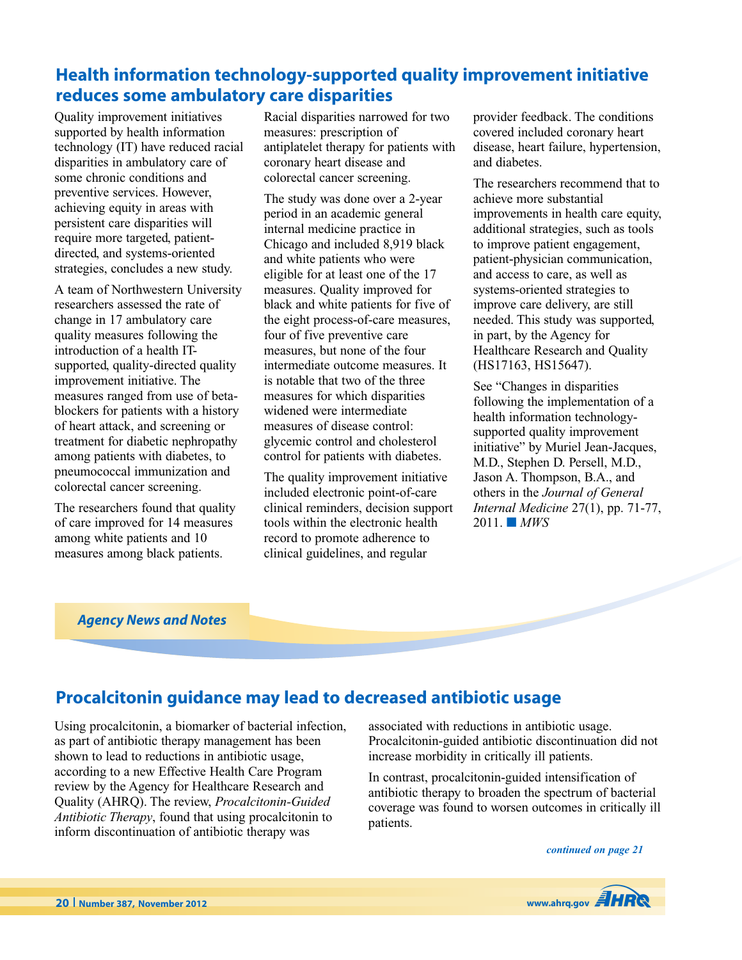# **Health information technology-supported quality improvement initiative reduces some ambulatory care disparities**

Quality improvement initiatives supported by health information technology (IT) have reduced racial disparities in ambulatory care of some chronic conditions and preventive services. However, achieving equity in areas with persistent care disparities will require more targeted, patientdirected, and systems-oriented strategies, concludes a new study.

A team of Northwestern University researchers assessed the rate of change in 17 ambulatory care quality measures following the introduction of a health ITsupported, quality-directed quality improvement initiative. The measures ranged from use of betablockers for patients with a history of heart attack, and screening or treatment for diabetic nephropathy among patients with diabetes, to pneumococcal immunization and colorectal cancer screening.

The researchers found that quality of care improved for 14 measures among white patients and 10 measures among black patients.

Racial disparities narrowed for two measures: prescription of antiplatelet therapy for patients with coronary heart disease and colorectal cancer screening.

The study was done over a 2-year period in an academic general internal medicine practice in Chicago and included 8,919 black and white patients who were eligible for at least one of the 17 measures. Quality improved for black and white patients for five of the eight process-of-care measures, four of five preventive care measures, but none of the four intermediate outcome measures. It is notable that two of the three measures for which disparities widened were intermediate measures of disease control: glycemic control and cholesterol control for patients with diabetes.

The quality improvement initiative included electronic point-of-care clinical reminders, decision support tools within the electronic health record to promote adherence to clinical guidelines, and regular

provider feedback. The conditions covered included coronary heart disease, heart failure, hypertension, and diabetes.

The researchers recommend that to achieve more substantial improvements in health care equity, additional strategies, such as tools to improve patient engagement, patient-physician communication, and access to care, as well as systems-oriented strategies to improve care delivery, are still needed. This study was supported, in part, by the Agency for Healthcare Research and Quality (HS17163, HS15647).

See "Changes in disparities following the implementation of a health information technologysupported quality improvement initiative" by Muriel Jean-Jacques, M.D., Stephen D. Persell, M.D., Jason A. Thompson, B.A., and others in the *Journal of General Internal Medicine* 27(1), pp. 71-77, 2011. **■** *MWS*

### *Agency News and Notes*

## **Procalcitonin guidance may lead to decreased antibiotic usage**

Using procalcitonin, a biomarker of bacterial infection, as part of antibiotic therapy management has been shown to lead to reductions in antibiotic usage, according to a new Effective Health Care Program review by the Agency for Healthcare Research and Quality (AHRQ). The review, *Procalcitonin-Guided Antibiotic Therapy*, found that using procalcitonin to inform discontinuation of antibiotic therapy was

associated with reductions in antibiotic usage. Procalcitonin-guided antibiotic discontinuation did not increase morbidity in critically ill patients.

In contrast, procalcitonin-guided intensification of antibiotic therapy to broaden the spectrum of bacterial coverage was found to worsen outcomes in critically ill patients.

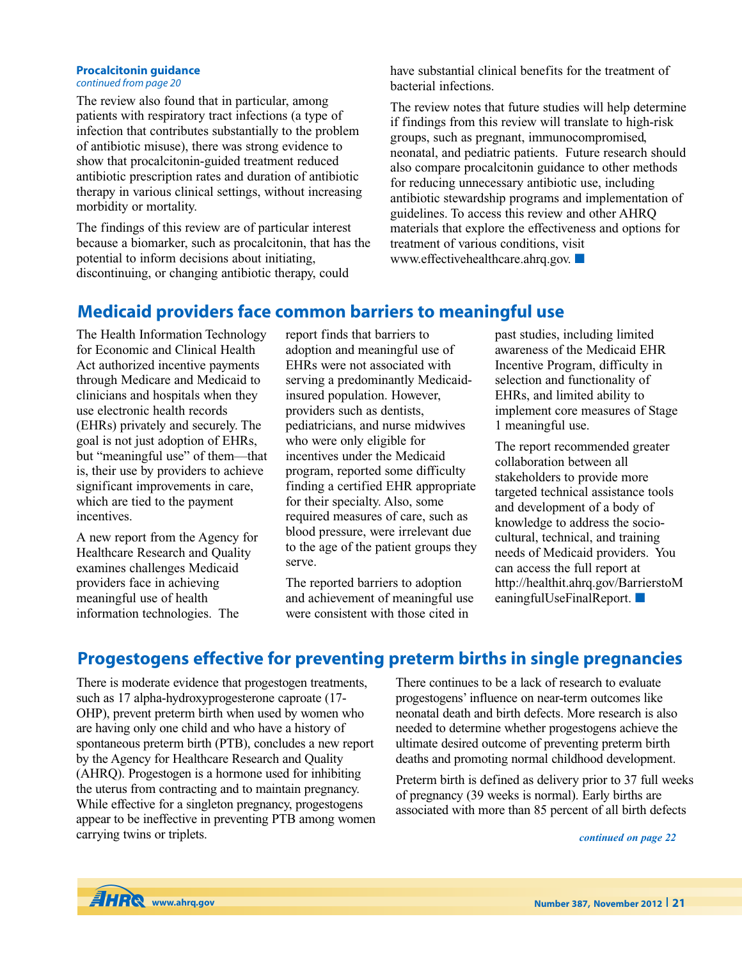### **Procalcitonin guidance**

*continued from page 20*

The review also found that in particular, among patients with respiratory tract infections (a type of infection that contributes substantially to the problem of antibiotic misuse), there was strong evidence to show that procalcitonin-guided treatment reduced antibiotic prescription rates and duration of antibiotic therapy in various clinical settings, without increasing morbidity or mortality.

The findings of this review are of particular interest because a biomarker, such as procalcitonin, that has the potential to inform decisions about initiating, discontinuing, or changing antibiotic therapy, could

have substantial clinical benefits for the treatment of bacterial infections.

The review notes that future studies will help determine if findings from this review will translate to high-risk groups, such as pregnant, immunocompromised, neonatal, and pediatric patients. Future research should also compare procalcitonin guidance to other methods for reducing unnecessary antibiotic use, including antibiotic stewardship programs and implementation of guidelines. To access this review and other AHRQ materials that explore the effectiveness and options for treatment of various conditions, visit www.effectivehealthcare.ahrq.gov. **■**

## **Medicaid providers face common barriers to meaningful use**

The Health Information Technology for Economic and Clinical Health Act authorized incentive payments through Medicare and Medicaid to clinicians and hospitals when they use electronic health records (EHRs) privately and securely. The goal is not just adoption of EHRs, but "meaningful use" of them—that is, their use by providers to achieve significant improvements in care, which are tied to the payment incentives.

A new report from the Agency for Healthcare Research and Quality examines challenges Medicaid providers face in achieving meaningful use of health information technologies. The

report finds that barriers to adoption and meaningful use of EHRs were not associated with serving a predominantly Medicaidinsured population. However, providers such as dentists, pediatricians, and nurse midwives who were only eligible for incentives under the Medicaid program, reported some difficulty finding a certified EHR appropriate for their specialty. Also, some required measures of care, such as blood pressure, were irrelevant due to the age of the patient groups they serve.

The reported barriers to adoption and achievement of meaningful use were consistent with those cited in

past studies, including limited awareness of the Medicaid EHR Incentive Program, difficulty in selection and functionality of EHRs, and limited ability to implement core measures of Stage 1 meaningful use.

The report recommended greater collaboration between all stakeholders to provide more targeted technical assistance tools and development of a body of knowledge to address the sociocultural, technical, and training needs of Medicaid providers. You can access the full report at http://healthit.ahrq.gov/BarrierstoM eaningfulUseFinalReport. **■**

# **Progestogens effective for preventing preterm births in single pregnancies**

There is moderate evidence that progestogen treatments, such as 17 alpha-hydroxyprogesterone caproate (17- OHP), prevent preterm birth when used by women who are having only one child and who have a history of spontaneous preterm birth (PTB), concludes a new report by the Agency for Healthcare Research and Quality (AHRQ). Progestogen is a hormone used for inhibiting the uterus from contracting and to maintain pregnancy. While effective for a singleton pregnancy, progestogens appear to be ineffective in preventing PTB among women carrying twins or triplets.

There continues to be a lack of research to evaluate progestogens' influence on near-term outcomes like neonatal death and birth defects. More research is also needed to determine whether progestogens achieve the ultimate desired outcome of preventing preterm birth deaths and promoting normal childhood development.

Preterm birth is defined as delivery prior to 37 full weeks of pregnancy (39 weeks is normal). Early births are associated with more than 85 percent of all birth defects

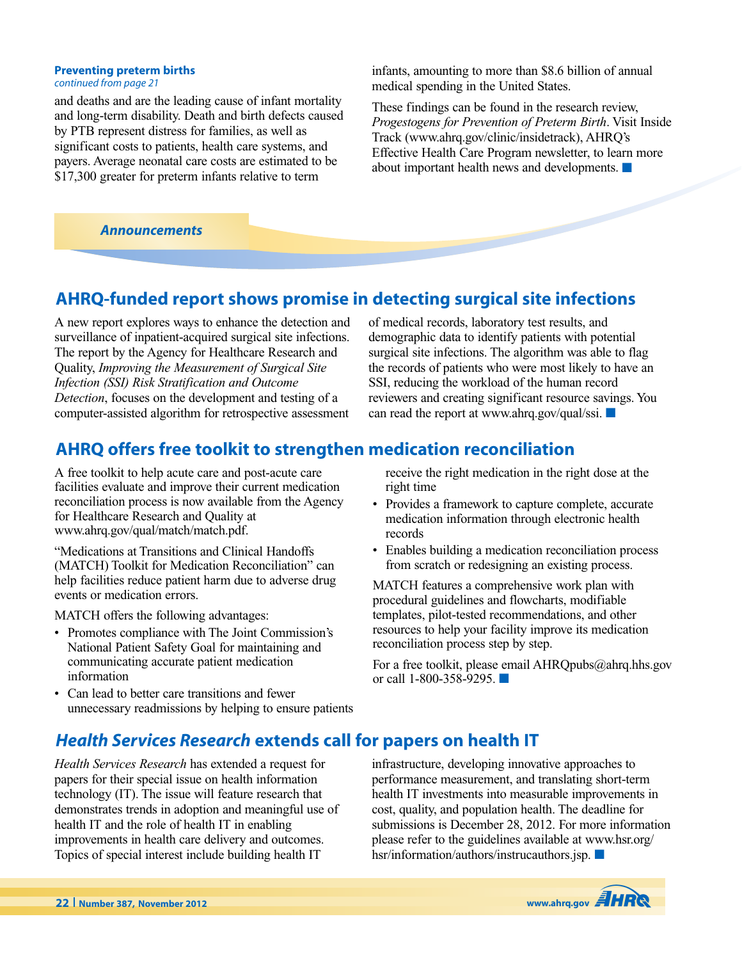## **Preventing preterm births**

*continued from page 21*

and deaths and are the leading cause of infant mortality and long-term disability. Death and birth defects caused by PTB represent distress for families, as well as significant costs to patients, health care systems, and payers. Average neonatal care costs are estimated to be \$17,300 greater for preterm infants relative to term

*Announcements*

infants, amounting to more than \$8.6 billion of annual medical spending in the United States.

These findings can be found in the research review, *Progestogens for Prevention of Preterm Birth*. Visit Inside Track (www.ahrq.gov/clinic/insidetrack), AHRQ's Effective Health Care Program newsletter, to learn more about important health news and developments. **■**

# **AHRQ-funded report shows promise in detecting surgical site infections**

A new report explores ways to enhance the detection and surveillance of inpatient-acquired surgical site infections. The report by the Agency for Healthcare Research and Quality, *Improving the Measurement of Surgical Site Infection (SSI) Risk Stratification and Outcome Detection*, focuses on the development and testing of a computer-assisted algorithm for retrospective assessment of medical records, laboratory test results, and demographic data to identify patients with potential surgical site infections. The algorithm was able to flag the records of patients who were most likely to have an SSI, reducing the workload of the human record reviewers and creating significant resource savings. You can read the report at www.ahrq.gov/qual/ssi. **■**

# **AHRQ offers free toolkit to strengthen medication reconciliation**

A free toolkit to help acute care and post-acute care facilities evaluate and improve their current medication reconciliation process is now available from the Agency for Healthcare Research and Quality at www.ahrq.gov/qual/match/match.pdf.

"Medications at Transitions and Clinical Handoffs (MATCH) Toolkit for Medication Reconciliation" can help facilities reduce patient harm due to adverse drug events or medication errors.

MATCH offers the following advantages:

- Promotes compliance with The Joint Commission's National Patient Safety Goal for maintaining and communicating accurate patient medication information
- Can lead to better care transitions and fewer unnecessary readmissions by helping to ensure patients

receive the right medication in the right dose at the right time

- Provides a framework to capture complete, accurate medication information through electronic health records
- Enables building a medication reconciliation process from scratch or redesigning an existing process.

MATCH features a comprehensive work plan with procedural guidelines and flowcharts, modifiable templates, pilot-tested recommendations, and other resources to help your facility improve its medication reconciliation process step by step.

For a free toolkit, please email AHRQpubs@ahrq.hhs.gov or call 1-800-358-9295. **■**

# *Health Services Research* **extends call for papers on health IT**

*Health Services Research* has extended a request for papers for their special issue on health information technology (IT). The issue will feature research that demonstrates trends in adoption and meaningful use of health IT and the role of health IT in enabling improvements in health care delivery and outcomes. Topics of special interest include building health IT

infrastructure, developing innovative approaches to performance measurement, and translating short-term health IT investments into measurable improvements in cost, quality, and population health. The deadline for submissions is December 28, 2012. For more information please refer to the guidelines available at www.hsr.org/ hsr/information/authors/instrucauthors.jsp. **■**

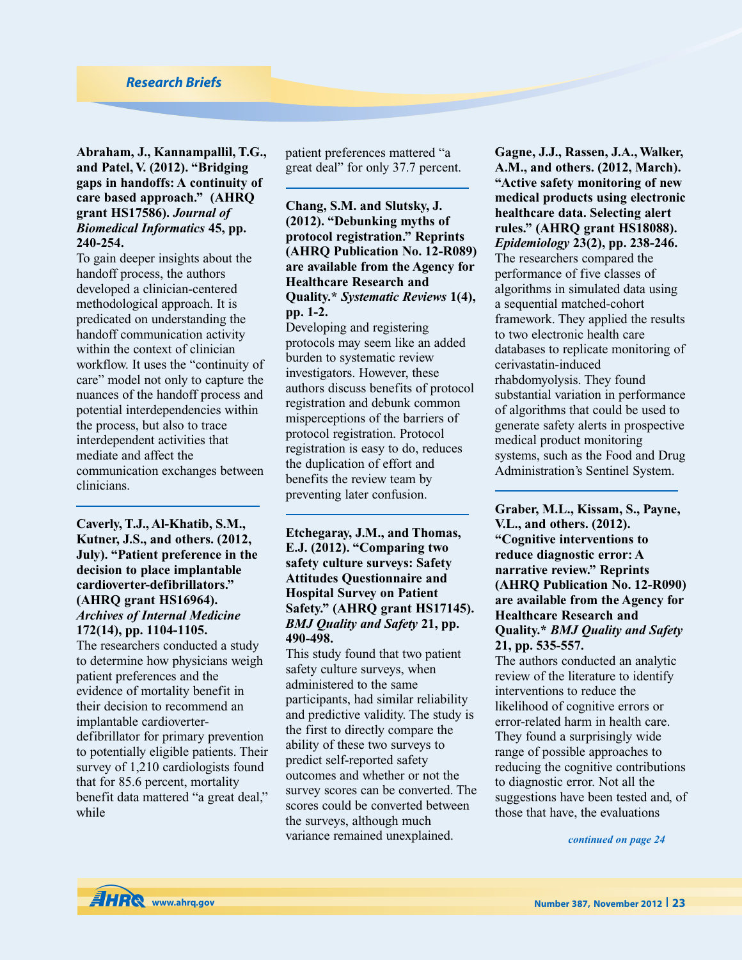### **Abraham, J., Kannampallil, T.G., and Patel, V. (2012). "Bridging gaps in handoffs: A continuity of care based approach." (AHRQ grant HS17586).** *Journal of Biomedical Informatics* **45, pp. 240-254.**

To gain deeper insights about the handoff process, the authors developed a clinician-centered methodological approach. It is predicated on understanding the handoff communication activity within the context of clinician workflow. It uses the "continuity of care" model not only to capture the nuances of the handoff process and potential interdependencies within the process, but also to trace interdependent activities that mediate and affect the communication exchanges between clinicians.

### **Caverly, T.J., Al-Khatib, S.M., Kutner, J.S., and others. (2012, July). "Patient preference in the decision to place implantable cardioverter-defibrillators." (AHRQ grant HS16964).** *Archives of Internal Medicine* **172(14), pp. 1104-1105.**

The researchers conducted a study to determine how physicians weigh patient preferences and the evidence of mortality benefit in their decision to recommend an implantable cardioverterdefibrillator for primary prevention to potentially eligible patients. Their survey of 1,210 cardiologists found that for 85.6 percent, mortality benefit data mattered "a great deal," while

patient preferences mattered "a great deal" for only 37.7 percent.

### **Chang, S.M. and Slutsky, J. (2012). "Debunking myths of protocol registration." Reprints (AHRQ Publication No. 12-R089) are available from the Agency for Healthcare Research and Quality.\*** *Systematic Reviews* **1(4), pp. 1-2.**

Developing and registering protocols may seem like an added burden to systematic review investigators. However, these authors discuss benefits of protocol registration and debunk common misperceptions of the barriers of protocol registration. Protocol registration is easy to do, reduces the duplication of effort and benefits the review team by preventing later confusion.

### **Etchegaray, J.M., and Thomas, E.J. (2012). "Comparing two safety culture surveys: Safety Attitudes Questionnaire and Hospital Survey on Patient Safety." (AHRQ grant HS17145).** *BMJ Quality and Safety* **21, pp. 490-498.**

This study found that two patient safety culture surveys, when administered to the same participants, had similar reliability and predictive validity. The study is the first to directly compare the ability of these two surveys to predict self-reported safety outcomes and whether or not the survey scores can be converted. The scores could be converted between the surveys, although much variance remained unexplained.

**Gagne, J.J., Rassen, J.A., Walker, A.M., and others. (2012, March). "Active safety monitoring of new medical products using electronic healthcare data. Selecting alert rules." (AHRQ grant HS18088).** *Epidemiology* **23(2), pp. 238-246.** The researchers compared the performance of five classes of algorithms in simulated data using a sequential matched-cohort framework. They applied the results to two electronic health care databases to replicate monitoring of cerivastatin-induced rhabdomyolysis. They found substantial variation in performance of algorithms that could be used to generate safety alerts in prospective medical product monitoring systems, such as the Food and Drug Administration's Sentinel System.

**Graber, M.L., Kissam, S., Payne, V.L., and others. (2012). "Cognitive interventions to reduce diagnostic error: A narrative review." Reprints (AHRQ Publication No. 12-R090) are available from the Agency for Healthcare Research and Quality.\*** *BMJ Quality and Safety* **21, pp. 535-557.**

The authors conducted an analytic review of the literature to identify interventions to reduce the likelihood of cognitive errors or error-related harm in health care. They found a surprisingly wide range of possible approaches to reducing the cognitive contributions to diagnostic error. Not all the suggestions have been tested and, of those that have, the evaluations

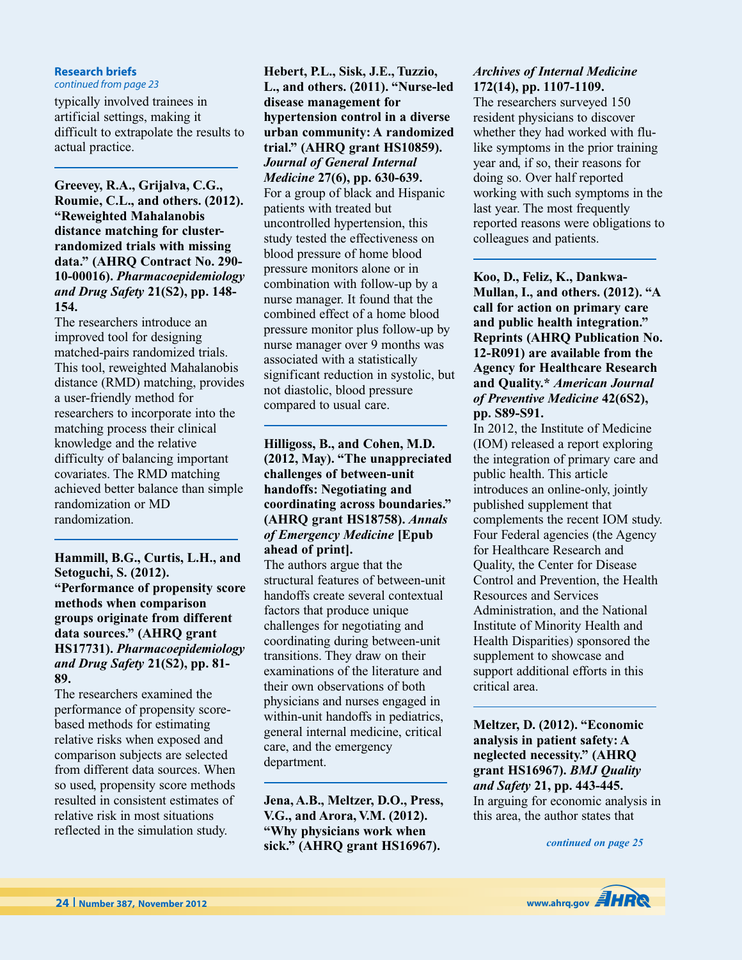#### **Research briefs** *continued from page 23*

typically involved trainees in artificial settings, making it difficult to extrapolate the results to actual practice.

**Greevey, R.A., Grijalva, C.G., Roumie, C.L., and others. (2012). "Reweighted Mahalanobis distance matching for clusterrandomized trials with missing data." (AHRQ Contract No. 290- 10-00016).** *Pharmacoepidemiology and Drug Safety* **21(S2), pp. 148- 154.**

The researchers introduce an improved tool for designing matched-pairs randomized trials. This tool, reweighted Mahalanobis distance (RMD) matching, provides a user-friendly method for researchers to incorporate into the matching process their clinical knowledge and the relative difficulty of balancing important covariates. The RMD matching achieved better balance than simple randomization or MD randomization.

**Hammill, B.G., Curtis, L.H., and Setoguchi, S. (2012). "Performance of propensity score methods when comparison groups originate from different data sources." (AHRQ grant HS17731).** *Pharmacoepidemiology and Drug Safety* **21(S2), pp. 81- 89.**

The researchers examined the performance of propensity scorebased methods for estimating relative risks when exposed and comparison subjects are selected from different data sources. When so used, propensity score methods resulted in consistent estimates of relative risk in most situations reflected in the simulation study.

**Hebert, P.L., Sisk, J.E., Tuzzio, L., and others. (2011). "Nurse-led disease management for hypertension control in a diverse urban community: A randomized trial." (AHRQ grant HS10859).** *Journal of General Internal Medicine* **27(6), pp. 630-639.** For a group of black and Hispanic patients with treated but uncontrolled hypertension, this study tested the effectiveness on blood pressure of home blood pressure monitors alone or in combination with follow-up by a nurse manager. It found that the combined effect of a home blood pressure monitor plus follow-up by nurse manager over 9 months was associated with a statistically significant reduction in systolic, but not diastolic, blood pressure compared to usual care.

### **Hilligoss, B., and Cohen, M.D. (2012, May). "The unappreciated challenges of between-unit handoffs: Negotiating and coordinating across boundaries." (AHRQ grant HS18758).** *Annals of Emergency Medicine* **[Epub ahead of print].**

The authors argue that the structural features of between-unit handoffs create several contextual factors that produce unique challenges for negotiating and coordinating during between-unit transitions. They draw on their examinations of the literature and their own observations of both physicians and nurses engaged in within-unit handoffs in pediatrics, general internal medicine, critical care, and the emergency department.

**Jena, A.B., Meltzer, D.O., Press, V.G., and Arora, V.M. (2012). "Why physicians work when sick." (AHRQ grant HS16967).**

### *Archives of Internal Medicine* **172(14), pp. 1107-1109.**

The researchers surveyed 150 resident physicians to discover whether they had worked with flulike symptoms in the prior training year and, if so, their reasons for doing so. Over half reported working with such symptoms in the last year. The most frequently reported reasons were obligations to colleagues and patients.

**Koo, D., Feliz, K., Dankwa-Mullan, I., and others. (2012). "A call for action on primary care and public health integration." Reprints (AHRQ Publication No. 12-R091) are available from the Agency for Healthcare Research and Quality.\*** *American Journal of Preventive Medicine* **42(6S2), pp. S89-S91.**

In 2012, the Institute of Medicine (IOM) released a report exploring the integration of primary care and public health. This article introduces an online-only, jointly published supplement that complements the recent IOM study. Four Federal agencies (the Agency for Healthcare Research and Quality, the Center for Disease Control and Prevention, the Health Resources and Services Administration, and the National Institute of Minority Health and Health Disparities) sponsored the supplement to showcase and support additional efforts in this critical area.

**Meltzer, D. (2012). "Economic analysis in patient safety: A neglected necessity." (AHRQ grant HS16967).** *BMJ Quality and Safety* **21, pp. 443-445.** In arguing for economic analysis in this area, the author states that

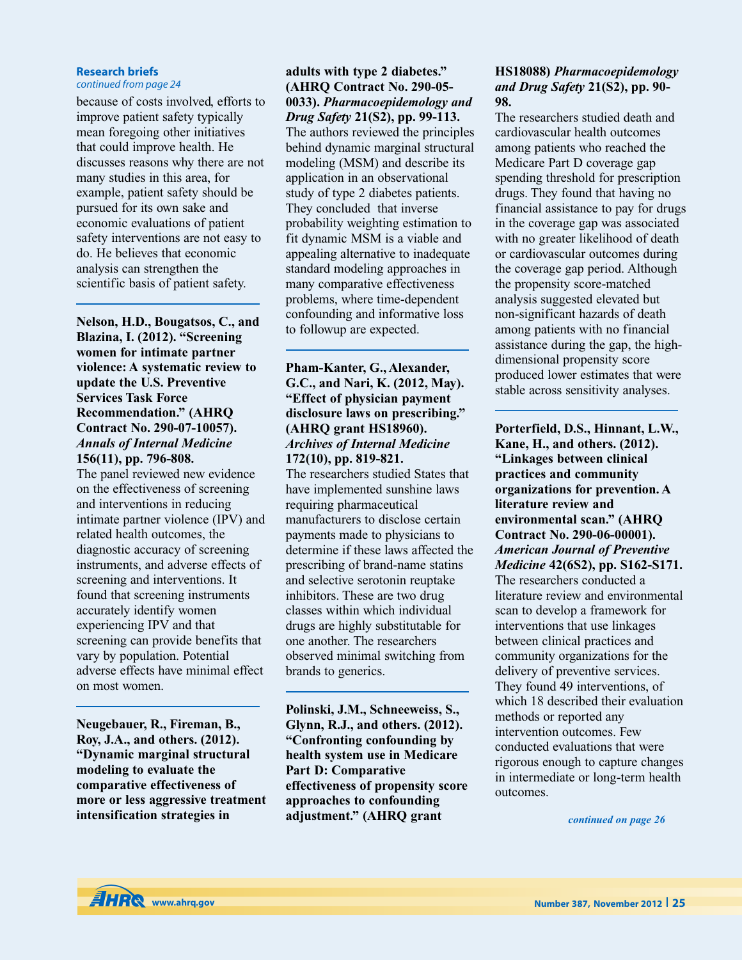### **Research briefs**

*continued from page 24*

because of costs involved, efforts to improve patient safety typically mean foregoing other initiatives that could improve health. He discusses reasons why there are not many studies in this area, for example, patient safety should be pursued for its own sake and economic evaluations of patient safety interventions are not easy to do. He believes that economic analysis can strengthen the scientific basis of patient safety.

**Nelson, H.D., Bougatsos, C., and Blazina, I. (2012). "Screening women for intimate partner violence: A systematic review to update the U.S. Preventive Services Task Force Recommendation." (AHRQ Contract No. 290-07-10057).** *Annals of Internal Medicine* **156(11), pp. 796-808.**

The panel reviewed new evidence on the effectiveness of screening and interventions in reducing intimate partner violence (IPV) and related health outcomes, the diagnostic accuracy of screening instruments, and adverse effects of screening and interventions. It found that screening instruments accurately identify women experiencing IPV and that screening can provide benefits that vary by population. Potential adverse effects have minimal effect on most women.

**Neugebauer, R., Fireman, B., Roy, J.A., and others. (2012). "Dynamic marginal structural modeling to evaluate the comparative effectiveness of more or less aggressive treatment intensification strategies in**

### **adults with type 2 diabetes." (AHRQ Contract No. 290-05- 0033).** *Pharmacoepidemology and Drug Safety* **21(S2), pp. 99-113.**

The authors reviewed the principles behind dynamic marginal structural modeling (MSM) and describe its application in an observational study of type 2 diabetes patients. They concluded that inverse probability weighting estimation to fit dynamic MSM is a viable and appealing alternative to inadequate standard modeling approaches in many comparative effectiveness problems, where time-dependent confounding and informative loss to followup are expected.

### **Pham-Kanter, G., Alexander, G.C., and Nari, K. (2012, May). "Effect of physician payment disclosure laws on prescribing." (AHRQ grant HS18960).** *Archives of Internal Medicine* **172(10), pp. 819-821.**

The researchers studied States that have implemented sunshine laws requiring pharmaceutical manufacturers to disclose certain payments made to physicians to determine if these laws affected the prescribing of brand-name statins and selective serotonin reuptake inhibitors. These are two drug classes within which individual drugs are highly substitutable for one another. The researchers observed minimal switching from brands to generics.

**Polinski, J.M., Schneeweiss, S., Glynn, R.J., and others. (2012). "Confronting confounding by health system use in Medicare Part D: Comparative effectiveness of propensity score approaches to confounding adjustment." (AHRQ grant**

### **HS18088)** *Pharmacoepidemology and Drug Safety* **21(S2), pp. 90- 98.**

The researchers studied death and cardiovascular health outcomes among patients who reached the Medicare Part D coverage gap spending threshold for prescription drugs. They found that having no financial assistance to pay for drugs in the coverage gap was associated with no greater likelihood of death or cardiovascular outcomes during the coverage gap period. Although the propensity score-matched analysis suggested elevated but non-significant hazards of death among patients with no financial assistance during the gap, the highdimensional propensity score produced lower estimates that were stable across sensitivity analyses.

**Porterfield, D.S., Hinnant, L.W., Kane, H., and others. (2012). "Linkages between clinical practices and community organizations for prevention. A literature review and environmental scan." (AHRQ Contract No. 290-06-00001).** *American Journal of Preventive Medicine* **42(6S2), pp. S162-S171.** The researchers conducted a literature review and environmental scan to develop a framework for interventions that use linkages between clinical practices and community organizations for the delivery of preventive services. They found 49 interventions, of which 18 described their evaluation methods or reported any intervention outcomes. Few conducted evaluations that were rigorous enough to capture changes in intermediate or long-term health outcomes.

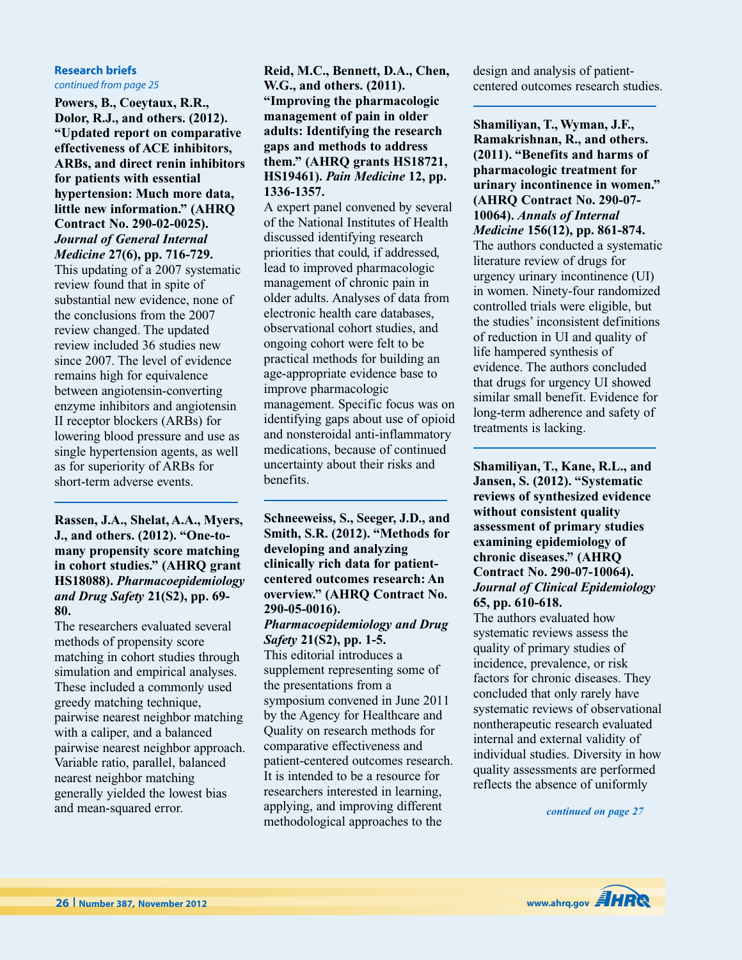#### **Research briefs** *continued from page 25*

**Powers, B., Coeytaux, R.R., Dolor, R.J., and others. (2012). "Updated report on comparative effectiveness of ACE inhibitors, ARBs, and direct renin inhibitors for patients with essential hypertension: Much more data, little new information." (AHRQ Contract No. 290-02-0025).** *Journal of General Internal*

*Medicine* **27(6), pp. 716-729.** This updating of a 2007 systematic review found that in spite of substantial new evidence, none of the conclusions from the 2007 review changed. The updated review included 36 studies new since 2007. The level of evidence remains high for equivalence between angiotensin-converting enzyme inhibitors and angiotensin II receptor blockers (ARBs) for lowering blood pressure and use as single hypertension agents, as well as for superiority of ARBs for short-term adverse events.

**Rassen, J.A., Shelat, A.A., Myers, J., and others. (2012). "One-tomany propensity score matching in cohort studies." (AHRQ grant HS18088).** *Pharmacoepidemiology and Drug Safety* **21(S2), pp. 69- 80.**

The researchers evaluated several methods of propensity score matching in cohort studies through simulation and empirical analyses. These included a commonly used greedy matching technique, pairwise nearest neighbor matching with a caliper, and a balanced pairwise nearest neighbor approach. Variable ratio, parallel, balanced nearest neighbor matching generally yielded the lowest bias and mean-squared error.

**Reid, M.C., Bennett, D.A., Chen, W.G., and others. (2011). "Improving the pharmacologic management of pain in older adults: Identifying the research gaps and methods to address them." (AHRQ grants HS18721, HS19461).** *Pain Medicine* **12, pp. 1336-1357.**

A expert panel convened by several of the National Institutes of Health discussed identifying research priorities that could, if addressed, lead to improved pharmacologic management of chronic pain in older adults. Analyses of data from electronic health care databases, observational cohort studies, and ongoing cohort were felt to be practical methods for building an age-appropriate evidence base to improve pharmacologic management. Specific focus was on identifying gaps about use of opioid and nonsteroidal anti-inflammatory medications, because of continued uncertainty about their risks and benefits.

**Schneeweiss, S., Seeger, J.D., and Smith, S.R. (2012). "Methods for developing and analyzing clinically rich data for patientcentered outcomes research: An overview." (AHRQ Contract No. 290-05-0016).**

### *Pharmacoepidemiology and Drug Safety* **21(S2), pp. 1-5.**

This editorial introduces a supplement representing some of the presentations from a symposium convened in June 2011 by the Agency for Healthcare and Quality on research methods for comparative effectiveness and patient-centered outcomes research. It is intended to be a resource for researchers interested in learning, applying, and improving different methodological approaches to the

design and analysis of patientcentered outcomes research studies.

**Shamiliyan, T., Wyman, J.F., Ramakrishnan, R., and others. (2011). "Benefits and harms of pharmacologic treatment for urinary incontinence in women." (AHRQ Contract No. 290-07- 10064).** *Annals of Internal Medicine* **156(12), pp. 861-874.** The authors conducted a systematic literature review of drugs for urgency urinary incontinence (UI) in women. Ninety-four randomized controlled trials were eligible, but the studies' inconsistent definitions of reduction in UI and quality of life hampered synthesis of evidence. The authors concluded that drugs for urgency UI showed similar small benefit. Evidence for long-term adherence and safety of treatments is lacking.

**Shamiliyan, T., Kane, R.L., and Jansen, S. (2012). "Systematic reviews of synthesized evidence without consistent quality assessment of primary studies examining epidemiology of chronic diseases." (AHRQ Contract No. 290-07-10064).** *Journal of Clinical Epidemiology* **65, pp. 610-618.**

The authors evaluated how systematic reviews assess the quality of primary studies of incidence, prevalence, or risk factors for chronic diseases. They concluded that only rarely have systematic reviews of observational nontherapeutic research evaluated internal and external validity of individual studies. Diversity in how quality assessments are performed reflects the absence of uniformly

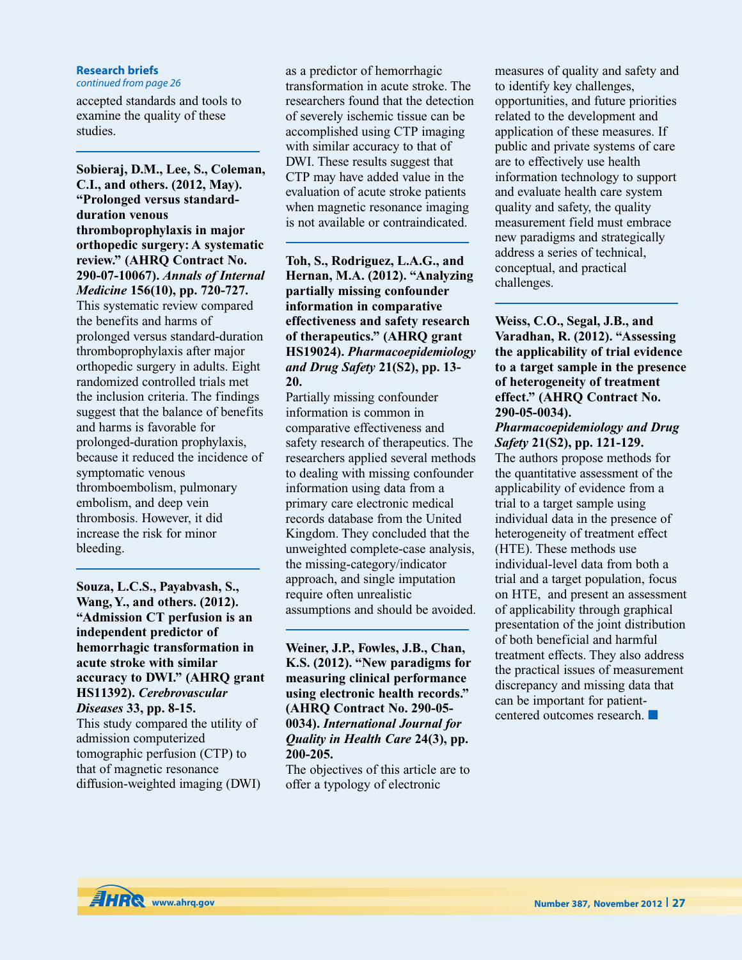### **Research briefs**

*continued from page 26*

accepted standards and tools to examine the quality of these studies.

**Sobieraj, D.M., Lee, S., Coleman, C.I., and others. (2012, May). "Prolonged versus standardduration venous thromboprophylaxis in major orthopedic surgery: A systematic review." (AHRQ Contract No. 290-07-10067).** *Annals of Internal Medicine* **156(10), pp. 720-727.** This systematic review compared the benefits and harms of prolonged versus standard-duration thromboprophylaxis after major orthopedic surgery in adults. Eight randomized controlled trials met the inclusion criteria. The findings suggest that the balance of benefits and harms is favorable for prolonged-duration prophylaxis, because it reduced the incidence of symptomatic venous thromboembolism, pulmonary embolism, and deep vein thrombosis. However, it did increase the risk for minor bleeding.

**Souza, L.C.S., Payabvash, S., Wang, Y., and others. (2012). "Admission CT perfusion is an independent predictor of hemorrhagic transformation in acute stroke with similar accuracy to DWI." (AHRQ grant HS11392).** *Cerebrovascular Diseases* **33, pp. 8-15.**

This study compared the utility of admission computerized tomographic perfusion (CTP) to that of magnetic resonance diffusion-weighted imaging (DWI)

as a predictor of hemorrhagic transformation in acute stroke. The researchers found that the detection of severely ischemic tissue can be accomplished using CTP imaging with similar accuracy to that of DWI. These results suggest that CTP may have added value in the evaluation of acute stroke patients when magnetic resonance imaging is not available or contraindicated.

**Toh, S., Rodriguez, L.A.G., and Hernan, M.A. (2012). "Analyzing partially missing confounder information in comparative effectiveness and safety research of therapeutics." (AHRQ grant HS19024).** *Pharmacoepidemiology and Drug Safety* **21(S2), pp. 13- 20.**

Partially missing confounder information is common in comparative effectiveness and safety research of therapeutics. The researchers applied several methods to dealing with missing confounder information using data from a primary care electronic medical records database from the United Kingdom. They concluded that the unweighted complete-case analysis, the missing-category/indicator approach, and single imputation require often unrealistic assumptions and should be avoided.

**Weiner, J.P., Fowles, J.B., Chan, K.S. (2012). "New paradigms for measuring clinical performance using electronic health records." (AHRQ Contract No. 290-05- 0034).** *International Journal for Quality in Health Care* **24(3), pp. 200-205.**

The objectives of this article are to offer a typology of electronic

measures of quality and safety and to identify key challenges, opportunities, and future priorities related to the development and application of these measures. If public and private systems of care are to effectively use health information technology to support and evaluate health care system quality and safety, the quality measurement field must embrace new paradigms and strategically address a series of technical, conceptual, and practical challenges.

**Weiss, C.O., Segal, J.B., and Varadhan, R. (2012). "Assessing the applicability of trial evidence to a target sample in the presence of heterogeneity of treatment effect." (AHRQ Contract No. 290-05-0034).**

*Pharmacoepidemiology and Drug Safety* **21(S2), pp. 121-129.** The authors propose methods for the quantitative assessment of the applicability of evidence from a trial to a target sample using individual data in the presence of heterogeneity of treatment effect (HTE). These methods use individual-level data from both a trial and a target population, focus on HTE, and present an assessment of applicability through graphical presentation of the joint distribution of both beneficial and harmful treatment effects. They also address the practical issues of measurement discrepancy and missing data that can be important for patientcentered outcomes research. **■**